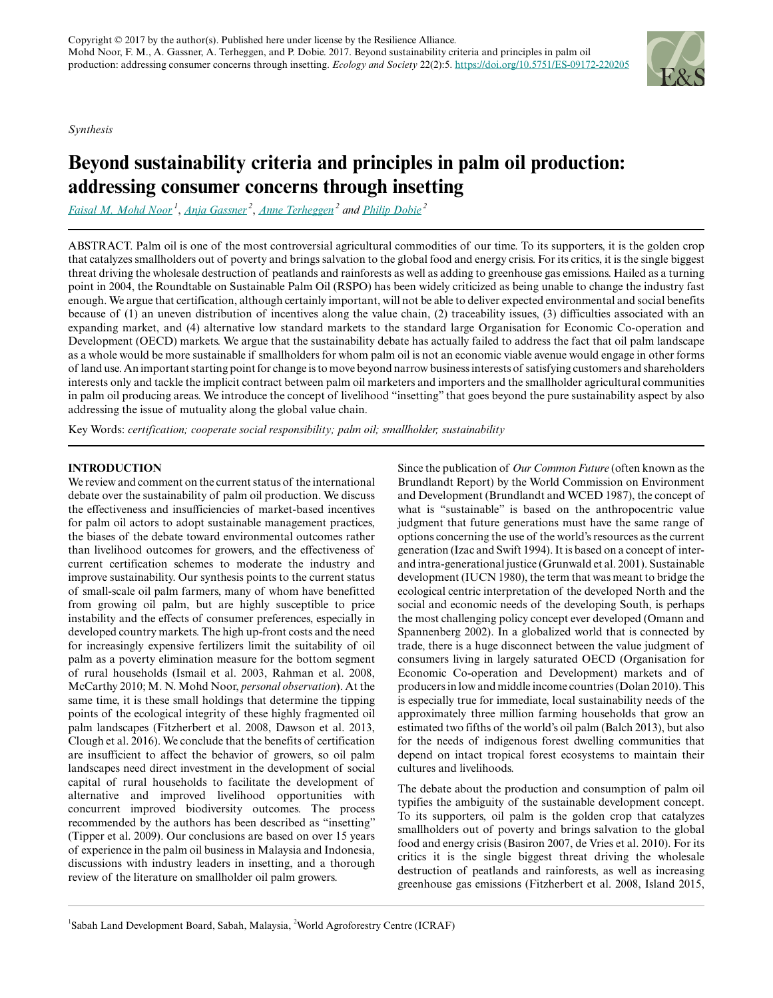*Synthesis*



# **Beyond sustainability criteria and principles in palm oil production: addressing consumer concerns through insetting**

*[Faisal M. Mohd Noor](mailto:faisalnoor@irmacmalaysia.org)<sup>1</sup>* , *[Anja Gassner](mailto:a.gassner@cgiar.org)<sup>2</sup>* , *[Anne Terheggen](mailto:A.Terheggen@cgiar.org)<sup>2</sup> and [Philip Dobie](mailto:P.Dobie@cgiar.org)<sup>2</sup>*

ABSTRACT. Palm oil is one of the most controversial agricultural commodities of our time. To its supporters, it is the golden crop that catalyzes smallholders out of poverty and brings salvation to the global food and energy crisis. For its critics, it is the single biggest threat driving the wholesale destruction of peatlands and rainforests as well as adding to greenhouse gas emissions. Hailed as a turning point in 2004, the Roundtable on Sustainable Palm Oil (RSPO) has been widely criticized as being unable to change the industry fast enough. We argue that certification, although certainly important, will not be able to deliver expected environmental and social benefits because of (1) an uneven distribution of incentives along the value chain, (2) traceability issues, (3) difficulties associated with an expanding market, and (4) alternative low standard markets to the standard large Organisation for Economic Co-operation and Development (OECD) markets. We argue that the sustainability debate has actually failed to address the fact that oil palm landscape as a whole would be more sustainable if smallholders for whom palm oil is not an economic viable avenue would engage in other forms of land use. An important starting point for change is to move beyond narrow business interests of satisfying customers and shareholders interests only and tackle the implicit contract between palm oil marketers and importers and the smallholder agricultural communities in palm oil producing areas. We introduce the concept of livelihood "insetting" that goes beyond the pure sustainability aspect by also addressing the issue of mutuality along the global value chain.

Key Words: *certification; cooperate social responsibility; palm oil; smallholder; sustainability*

# **INTRODUCTION**

We review and comment on the current status of the international debate over the sustainability of palm oil production. We discuss the effectiveness and insufficiencies of market-based incentives for palm oil actors to adopt sustainable management practices, the biases of the debate toward environmental outcomes rather than livelihood outcomes for growers, and the effectiveness of current certification schemes to moderate the industry and improve sustainability. Our synthesis points to the current status of small-scale oil palm farmers, many of whom have benefitted from growing oil palm, but are highly susceptible to price instability and the effects of consumer preferences, especially in developed country markets. The high up-front costs and the need for increasingly expensive fertilizers limit the suitability of oil palm as a poverty elimination measure for the bottom segment of rural households (Ismail et al. 2003, Rahman et al. 2008, McCarthy 2010; M. N. Mohd Noor, *personal observation*). At the same time, it is these small holdings that determine the tipping points of the ecological integrity of these highly fragmented oil palm landscapes (Fitzherbert et al. 2008, Dawson et al. 2013, Clough et al. 2016). We conclude that the benefits of certification are insufficient to affect the behavior of growers, so oil palm landscapes need direct investment in the development of social capital of rural households to facilitate the development of alternative and improved livelihood opportunities with concurrent improved biodiversity outcomes. The process recommended by the authors has been described as "insetting" (Tipper et al. 2009). Our conclusions are based on over 15 years of experience in the palm oil business in Malaysia and Indonesia, discussions with industry leaders in insetting, and a thorough review of the literature on smallholder oil palm growers.

Since the publication of *Our Common Future* (often known as the Brundlandt Report) by the World Commission on Environment and Development (Brundlandt and WCED 1987), the concept of what is "sustainable" is based on the anthropocentric value judgment that future generations must have the same range of options concerning the use of the world's resources as the current generation (Izac and Swift 1994). It is based on a concept of interand intra-generational justice (Grunwald et al. 2001). Sustainable development (IUCN 1980), the term that was meant to bridge the ecological centric interpretation of the developed North and the social and economic needs of the developing South, is perhaps the most challenging policy concept ever developed (Omann and Spannenberg 2002). In a globalized world that is connected by trade, there is a huge disconnect between the value judgment of consumers living in largely saturated OECD (Organisation for Economic Co-operation and Development) markets and of producers in low and middle income countries (Dolan 2010). This is especially true for immediate, local sustainability needs of the approximately three million farming households that grow an estimated two fifths of the world's oil palm (Balch 2013), but also for the needs of indigenous forest dwelling communities that depend on intact tropical forest ecosystems to maintain their cultures and livelihoods.

The debate about the production and consumption of palm oil typifies the ambiguity of the sustainable development concept. To its supporters, oil palm is the golden crop that catalyzes smallholders out of poverty and brings salvation to the global food and energy crisis (Basiron 2007, de Vries et al. 2010). For its critics it is the single biggest threat driving the wholesale destruction of peatlands and rainforests, as well as increasing greenhouse gas emissions (Fitzherbert et al. 2008, Island 2015,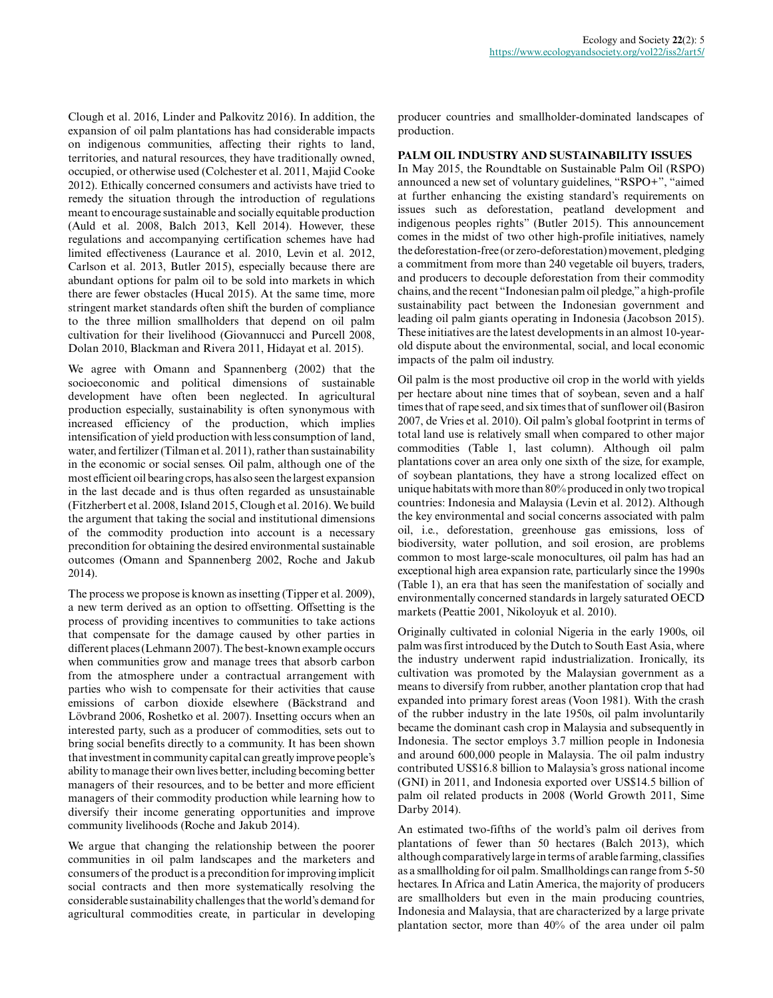Clough et al. 2016, Linder and Palkovitz 2016). In addition, the expansion of oil palm plantations has had considerable impacts on indigenous communities, affecting their rights to land, territories, and natural resources, they have traditionally owned, occupied, or otherwise used (Colchester et al. 2011, Majid Cooke 2012). Ethically concerned consumers and activists have tried to remedy the situation through the introduction of regulations meant to encourage sustainable and socially equitable production (Auld et al. 2008, Balch 2013, Kell 2014). However, these regulations and accompanying certification schemes have had limited effectiveness (Laurance et al. 2010, Levin et al. 2012, Carlson et al. 2013, Butler 2015), especially because there are abundant options for palm oil to be sold into markets in which there are fewer obstacles (Hucal 2015). At the same time, more stringent market standards often shift the burden of compliance to the three million smallholders that depend on oil palm cultivation for their livelihood (Giovannucci and Purcell 2008, Dolan 2010, Blackman and Rivera 2011, Hidayat et al. 2015).

We agree with Omann and Spannenberg (2002) that the socioeconomic and political dimensions of sustainable development have often been neglected. In agricultural production especially, sustainability is often synonymous with increased efficiency of the production, which implies intensification of yield production with less consumption of land, water, and fertilizer (Tilman et al. 2011), rather than sustainability in the economic or social senses. Oil palm, although one of the most efficient oil bearing crops, has also seen the largest expansion in the last decade and is thus often regarded as unsustainable (Fitzherbert et al. 2008, Island 2015, Clough et al. 2016). We build the argument that taking the social and institutional dimensions of the commodity production into account is a necessary precondition for obtaining the desired environmental sustainable outcomes (Omann and Spannenberg 2002, Roche and Jakub 2014).

The process we propose is known as insetting (Tipper et al. 2009), a new term derived as an option to offsetting. Offsetting is the process of providing incentives to communities to take actions that compensate for the damage caused by other parties in different places (Lehmann 2007). The best-known example occurs when communities grow and manage trees that absorb carbon from the atmosphere under a contractual arrangement with parties who wish to compensate for their activities that cause emissions of carbon dioxide elsewhere (Bäckstrand and Lövbrand 2006, Roshetko et al. 2007). Insetting occurs when an interested party, such as a producer of commodities, sets out to bring social benefits directly to a community. It has been shown that investment in community capital can greatly improve people's ability to manage their own lives better, including becoming better managers of their resources, and to be better and more efficient managers of their commodity production while learning how to diversify their income generating opportunities and improve community livelihoods (Roche and Jakub 2014).

We argue that changing the relationship between the poorer communities in oil palm landscapes and the marketers and consumers of the product is a precondition for improving implicit social contracts and then more systematically resolving the considerable sustainability challenges that the world's demand for agricultural commodities create, in particular in developing producer countries and smallholder-dominated landscapes of production.

#### **PALM OIL INDUSTRY AND SUSTAINABILITY ISSUES**

In May 2015, the Roundtable on Sustainable Palm Oil (RSPO) announced a new set of voluntary guidelines, "RSPO+", "aimed at further enhancing the existing standard's requirements on issues such as deforestation, peatland development and indigenous peoples rights" (Butler 2015). This announcement comes in the midst of two other high-profile initiatives, namely the deforestation-free (or zero-deforestation) movement, pledging a commitment from more than 240 vegetable oil buyers, traders, and producers to decouple deforestation from their commodity chains, and the recent "Indonesian palm oil pledge," a high-profile sustainability pact between the Indonesian government and leading oil palm giants operating in Indonesia (Jacobson 2015). These initiatives are the latest developments in an almost 10-yearold dispute about the environmental, social, and local economic impacts of the palm oil industry.

Oil palm is the most productive oil crop in the world with yields per hectare about nine times that of soybean, seven and a half times that of rape seed, and six times that of sunflower oil (Basiron 2007, de Vries et al. 2010). Oil palm's global footprint in terms of total land use is relatively small when compared to other major commodities (Table 1, last column). Although oil palm plantations cover an area only one sixth of the size, for example, of soybean plantations, they have a strong localized effect on unique habitats with more than 80% produced in only two tropical countries: Indonesia and Malaysia (Levin et al. 2012). Although the key environmental and social concerns associated with palm oil, i.e., deforestation, greenhouse gas emissions, loss of biodiversity, water pollution, and soil erosion, are problems common to most large-scale monocultures, oil palm has had an exceptional high area expansion rate, particularly since the 1990s (Table 1), an era that has seen the manifestation of socially and environmentally concerned standards in largely saturated OECD markets (Peattie 2001, Nikoloyuk et al. 2010).

Originally cultivated in colonial Nigeria in the early 1900s, oil palm was first introduced by the Dutch to South East Asia, where the industry underwent rapid industrialization. Ironically, its cultivation was promoted by the Malaysian government as a means to diversify from rubber, another plantation crop that had expanded into primary forest areas (Voon 1981). With the crash of the rubber industry in the late 1950s, oil palm involuntarily became the dominant cash crop in Malaysia and subsequently in Indonesia. The sector employs 3.7 million people in Indonesia and around 600,000 people in Malaysia. The oil palm industry contributed US\$16.8 billion to Malaysia's gross national income (GNI) in 2011, and Indonesia exported over US\$14.5 billion of palm oil related products in 2008 (World Growth 2011, Sime Darby 2014).

An estimated two-fifths of the world's palm oil derives from plantations of fewer than 50 hectares (Balch 2013), which although comparatively large in terms of arable farming, classifies as a smallholding for oil palm. Smallholdings can range from 5-50 hectares. In Africa and Latin America, the majority of producers are smallholders but even in the main producing countries, Indonesia and Malaysia, that are characterized by a large private plantation sector, more than 40% of the area under oil palm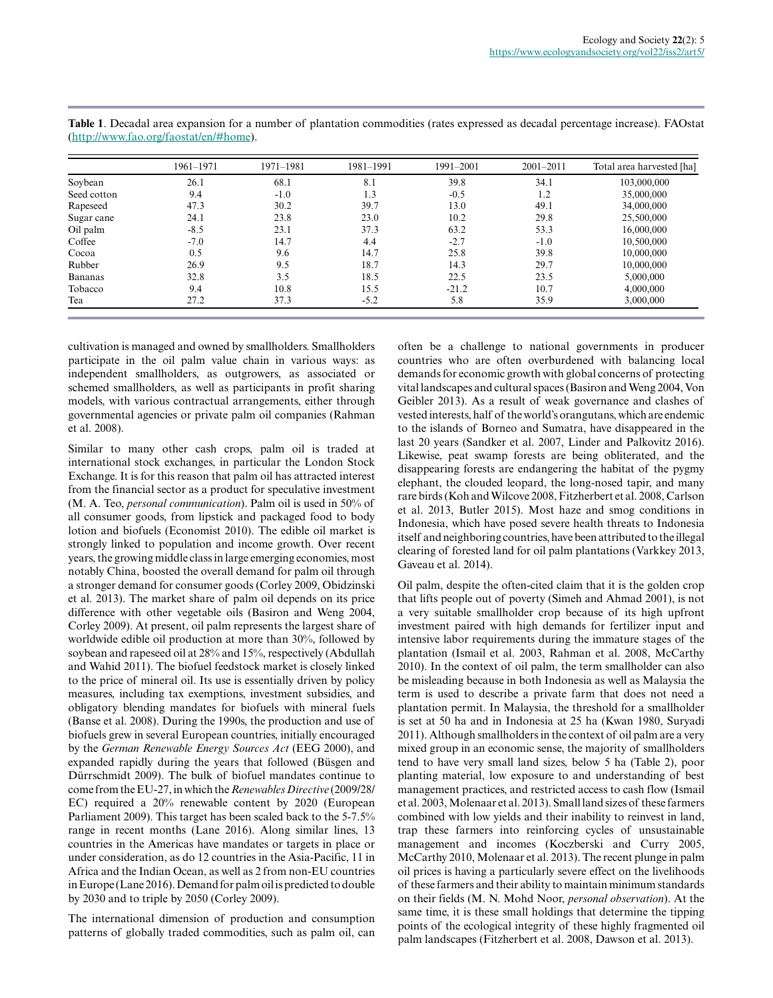|             | 1961-1971 | 1971-1981 | 1981-1991 | 1991-2001 | $2001 - 2011$ | Total area harvested [ha] |  |
|-------------|-----------|-----------|-----------|-----------|---------------|---------------------------|--|
| Soybean     | 26.1      | 68.1      | 8.1       | 39.8      | 34.1          | 103,000,000               |  |
| Seed cotton | 9.4       | $-1.0$    | 1.3       | $-0.5$    | 1.2           | 35,000,000                |  |
| Rapeseed    | 47.3      | 30.2      | 39.7      | 13.0      | 49.1          | 34,000,000                |  |
| Sugar cane  | 24.1      | 23.8      | 23.0      | 10.2      | 29.8          | 25,500,000                |  |
| Oil palm    | $-8.5$    | 23.1      | 37.3      | 63.2      | 53.3          | 16,000,000                |  |
| Coffee      | $-7.0$    | 14.7      | 4.4       | $-2.7$    | $-1.0$        | 10,500,000                |  |
| Cocoa       | 0.5       | 9.6       | 14.7      | 25.8      | 39.8          | 10,000,000                |  |
| Rubber      | 26.9      | 9.5       | 18.7      | 14.3      | 29.7          | 10,000,000                |  |
| Bananas     | 32.8      | 3.5       | 18.5      | 22.5      | 23.5          | 5,000,000                 |  |
| Tobacco     | 9.4       | 10.8      | 15.5      | $-21.2$   | 10.7          | 4,000,000                 |  |
| Tea         | 27.2      | 37.3      | $-5.2$    | 5.8       | 35.9          | 3,000,000                 |  |

**Table 1**. Decadal area expansion for a number of plantation commodities (rates expressed as decadal percentage increase). FAOstat (<http://www.fao.org/faostat/en/#home>).

cultivation is managed and owned by smallholders. Smallholders participate in the oil palm value chain in various ways: as independent smallholders, as outgrowers, as associated or schemed smallholders, as well as participants in profit sharing models, with various contractual arrangements, either through governmental agencies or private palm oil companies (Rahman et al. 2008).

Similar to many other cash crops, palm oil is traded at international stock exchanges, in particular the London Stock Exchange. It is for this reason that palm oil has attracted interest from the financial sector as a product for speculative investment (M. A. Teo, *personal communication*). Palm oil is used in 50% of all consumer goods, from lipstick and packaged food to body lotion and biofuels (Economist 2010). The edible oil market is strongly linked to population and income growth. Over recent years, the growing middle class in large emerging economies, most notably China, boosted the overall demand for palm oil through a stronger demand for consumer goods (Corley 2009, Obidzinski et al. 2013). The market share of palm oil depends on its price difference with other vegetable oils (Basiron and Weng 2004, Corley 2009). At present, oil palm represents the largest share of worldwide edible oil production at more than 30%, followed by soybean and rapeseed oil at 28% and 15%, respectively (Abdullah and Wahid 2011). The biofuel feedstock market is closely linked to the price of mineral oil. Its use is essentially driven by policy measures, including tax exemptions, investment subsidies, and obligatory blending mandates for biofuels with mineral fuels (Banse et al. 2008). During the 1990s, the production and use of biofuels grew in several European countries, initially encouraged by the *German Renewable Energy Sources Act* (EEG 2000), and expanded rapidly during the years that followed (Büsgen and Dürrschmidt 2009). The bulk of biofuel mandates continue to come from the EU-27, in which the *Renewables Directive* (2009/28/ EC) required a 20% renewable content by 2020 (European Parliament 2009). This target has been scaled back to the 5-7.5% range in recent months (Lane 2016). Along similar lines, 13 countries in the Americas have mandates or targets in place or under consideration, as do 12 countries in the Asia-Pacific, 11 in Africa and the Indian Ocean, as well as 2 from non-EU countries in Europe (Lane 2016). Demand for palm oil is predicted to double by 2030 and to triple by 2050 (Corley 2009).

The international dimension of production and consumption patterns of globally traded commodities, such as palm oil, can often be a challenge to national governments in producer countries who are often overburdened with balancing local demands for economic growth with global concerns of protecting vital landscapes and cultural spaces (Basiron and Weng 2004, Von Geibler 2013). As a result of weak governance and clashes of vested interests, half of the world's orangutans, which are endemic to the islands of Borneo and Sumatra, have disappeared in the last 20 years (Sandker et al. 2007, Linder and Palkovitz 2016). Likewise, peat swamp forests are being obliterated, and the disappearing forests are endangering the habitat of the pygmy elephant, the clouded leopard, the long-nosed tapir, and many rare birds (Koh and Wilcove 2008, Fitzherbert et al. 2008, Carlson et al. 2013, Butler 2015). Most haze and smog conditions in Indonesia, which have posed severe health threats to Indonesia itself and neighboring countries, have been attributed to the illegal clearing of forested land for oil palm plantations (Varkkey 2013, Gaveau et al. 2014).

Oil palm, despite the often-cited claim that it is the golden crop that lifts people out of poverty (Simeh and Ahmad 2001), is not a very suitable smallholder crop because of its high upfront investment paired with high demands for fertilizer input and intensive labor requirements during the immature stages of the plantation (Ismail et al. 2003, Rahman et al. 2008, McCarthy 2010). In the context of oil palm, the term smallholder can also be misleading because in both Indonesia as well as Malaysia the term is used to describe a private farm that does not need a plantation permit. In Malaysia, the threshold for a smallholder is set at 50 ha and in Indonesia at 25 ha (Kwan 1980, Suryadi 2011). Although smallholders in the context of oil palm are a very mixed group in an economic sense, the majority of smallholders tend to have very small land sizes, below 5 ha (Table 2), poor planting material, low exposure to and understanding of best management practices, and restricted access to cash flow (Ismail et al. 2003, Molenaar et al. 2013). Small land sizes of these farmers combined with low yields and their inability to reinvest in land, trap these farmers into reinforcing cycles of unsustainable management and incomes (Koczberski and Curry 2005, McCarthy 2010, Molenaar et al. 2013). The recent plunge in palm oil prices is having a particularly severe effect on the livelihoods of these farmers and their ability to maintain minimum standards on their fields (M. N. Mohd Noor, *personal observation*). At the same time, it is these small holdings that determine the tipping points of the ecological integrity of these highly fragmented oil palm landscapes (Fitzherbert et al. 2008, Dawson et al. 2013).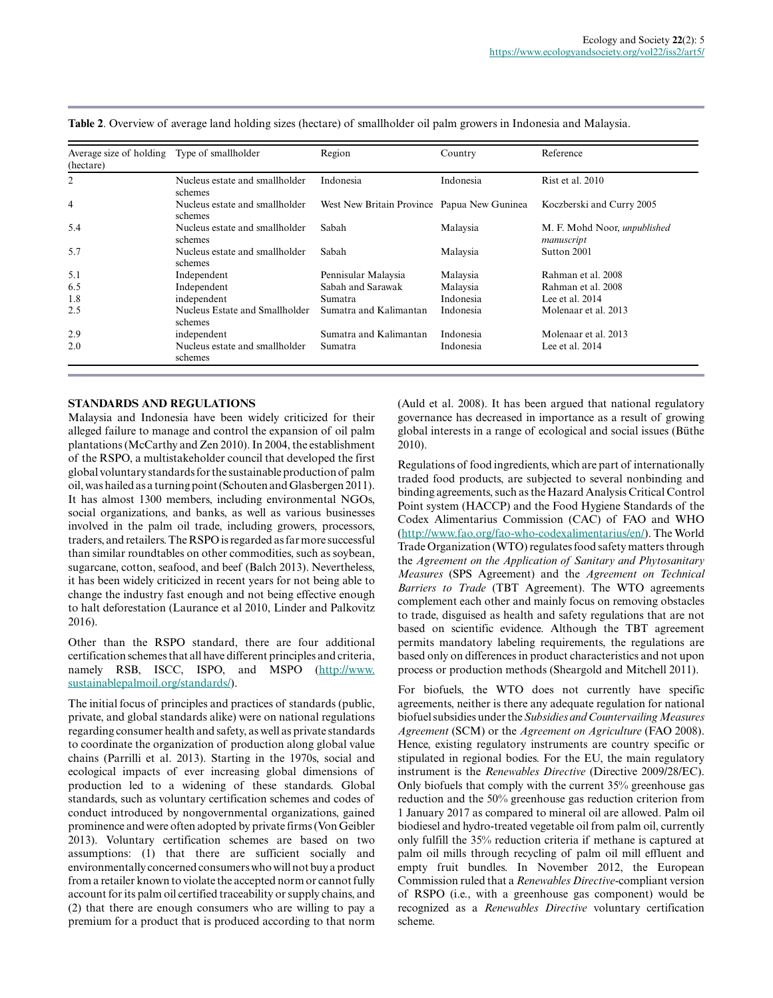| Average size of holding Type of smallholder<br>(hectare) |                                           | Region                                      | Country   | Reference<br>Rist et al. 2010              |  |  |
|----------------------------------------------------------|-------------------------------------------|---------------------------------------------|-----------|--------------------------------------------|--|--|
| 2                                                        | Nucleus estate and smallholder<br>schemes | Indonesia                                   | Indonesia |                                            |  |  |
| $\overline{4}$                                           | Nucleus estate and smallholder<br>schemes | West New Britain Province Papua New Guninea |           | Koczberski and Curry 2005                  |  |  |
| 5.4                                                      | Nucleus estate and smallholder<br>schemes | Sabah                                       | Malaysia  | M. F. Mohd Noor, unpublished<br>manuscript |  |  |
| 5.7                                                      | Nucleus estate and smallholder<br>schemes | Sabah                                       | Malaysia  | Sutton 2001                                |  |  |
| 5.1                                                      | Independent                               | Pennisular Malaysia                         | Malaysia  | Rahman et al. 2008                         |  |  |
| 6.5                                                      | Independent                               | Sabah and Sarawak                           | Malaysia  | Rahman et al. 2008                         |  |  |
| 1.8                                                      | independent                               | Sumatra                                     | Indonesia | Lee et al. $2014$                          |  |  |
| 2.5                                                      | Nucleus Estate and Smallholder<br>schemes | Sumatra and Kalimantan                      | Indonesia | Molenaar et al. 2013                       |  |  |
| 2.9                                                      | independent                               | Sumatra and Kalimantan                      | Indonesia | Molenaar et al. 2013                       |  |  |
| 2.0                                                      | Nucleus estate and smallholder<br>schemes | Sumatra                                     | Indonesia | Lee et al. $2014$                          |  |  |

**Table 2**. Overview of average land holding sizes (hectare) of smallholder oil palm growers in Indonesia and Malaysia.

## **STANDARDS AND REGULATIONS**

Malaysia and Indonesia have been widely criticized for their alleged failure to manage and control the expansion of oil palm plantations (McCarthy and Zen 2010). In 2004, the establishment of the RSPO, a multistakeholder council that developed the first global voluntary standards for the sustainable production of palm oil, was hailed as a turning point (Schouten and Glasbergen 2011). It has almost 1300 members, including environmental NGOs, social organizations, and banks, as well as various businesses involved in the palm oil trade, including growers, processors, traders, and retailers. The RSPO is regarded as far more successful than similar roundtables on other commodities, such as soybean, sugarcane, cotton, seafood, and beef (Balch 2013). Nevertheless, it has been widely criticized in recent years for not being able to change the industry fast enough and not being effective enough to halt deforestation (Laurance et al 2010, Linder and Palkovitz 2016).

Other than the RSPO standard, there are four additional certification schemes that all have different principles and criteria, namely RSB, ISCC, ISPO, and MSPO ([http://www.](http://www.sustainablepalmoil.org/standards/) [sustainablepalmoil.org/standards/\)](http://www.sustainablepalmoil.org/standards/).

The initial focus of principles and practices of standards (public, private, and global standards alike) were on national regulations regarding consumer health and safety, as well as private standards to coordinate the organization of production along global value chains (Parrilli et al. 2013). Starting in the 1970s, social and ecological impacts of ever increasing global dimensions of production led to a widening of these standards. Global standards, such as voluntary certification schemes and codes of conduct introduced by nongovernmental organizations, gained prominence and were often adopted by private firms (Von Geibler 2013). Voluntary certification schemes are based on two assumptions: (1) that there are sufficient socially and environmentally concerned consumers who will not buy a product from a retailer known to violate the accepted norm or cannot fully account for its palm oil certified traceability or supply chains, and (2) that there are enough consumers who are willing to pay a premium for a product that is produced according to that norm (Auld et al. 2008). It has been argued that national regulatory governance has decreased in importance as a result of growing global interests in a range of ecological and social issues (Büthe 2010).

Regulations of food ingredients, which are part of internationally traded food products, are subjected to several nonbinding and binding agreements, such as the Hazard Analysis Critical Control Point system (HACCP) and the Food Hygiene Standards of the Codex Alimentarius Commission (CAC) of FAO and WHO (<http://www.fao.org/fao-who-codexalimentarius/en/>). The World Trade Organization (WTO) regulates food safety matters through the *Agreement on the Application of Sanitary and Phytosanitary Measures* (SPS Agreement) and the *Agreement on Technical Barriers to Trade* (TBT Agreement). The WTO agreements complement each other and mainly focus on removing obstacles to trade, disguised as health and safety regulations that are not based on scientific evidence. Although the TBT agreement permits mandatory labeling requirements, the regulations are based only on differences in product characteristics and not upon process or production methods (Sheargold and Mitchell 2011).

For biofuels, the WTO does not currently have specific agreements, neither is there any adequate regulation for national biofuel subsidies under the *Subsidies and Countervailing Measures Agreement* (SCM) or the *Agreement on Agriculture* (FAO 2008). Hence, existing regulatory instruments are country specific or stipulated in regional bodies. For the EU, the main regulatory instrument is the *Renewables Directive* (Directive 2009/28/EC). Only biofuels that comply with the current 35% greenhouse gas reduction and the 50% greenhouse gas reduction criterion from 1 January 2017 as compared to mineral oil are allowed. Palm oil biodiesel and hydro-treated vegetable oil from palm oil, currently only fulfill the 35% reduction criteria if methane is captured at palm oil mills through recycling of palm oil mill effluent and empty fruit bundles. In November 2012, the European Commission ruled that a *Renewables Directive*-compliant version of RSPO (i.e., with a greenhouse gas component) would be recognized as a *Renewables Directive* voluntary certification scheme.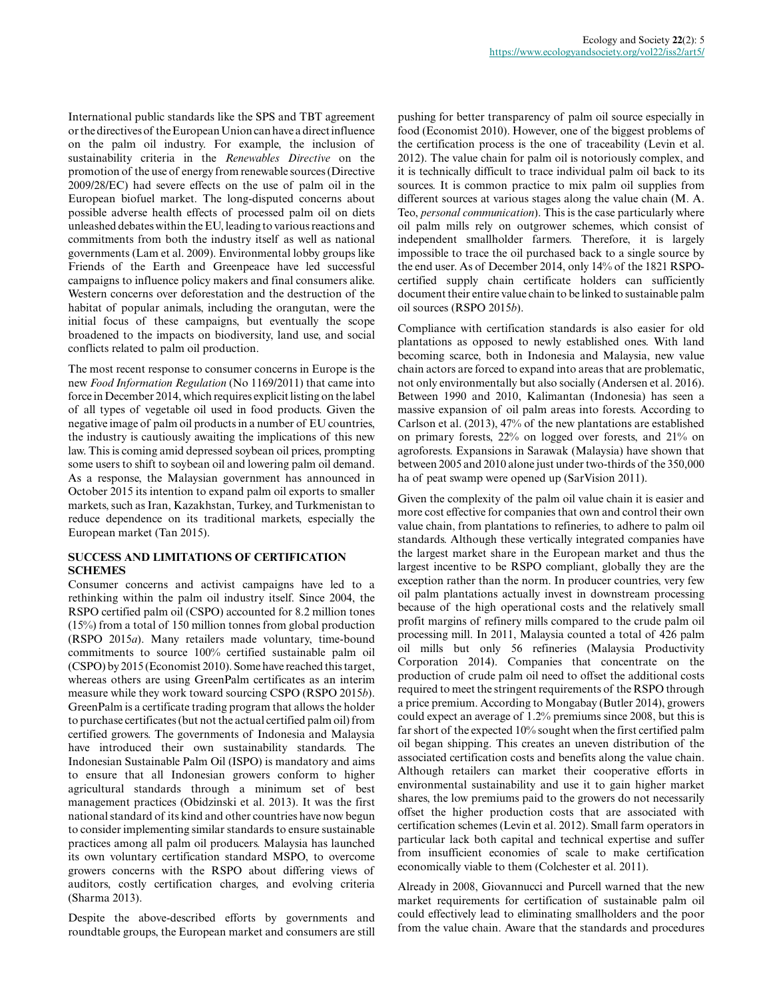International public standards like the SPS and TBT agreement or the directives of the European Union can have a direct influence on the palm oil industry. For example, the inclusion of sustainability criteria in the *Renewables Directive* on the promotion of the use of energy from renewable sources (Directive 2009/28/EC) had severe effects on the use of palm oil in the European biofuel market. The long-disputed concerns about possible adverse health effects of processed palm oil on diets unleashed debates within the EU, leading to various reactions and commitments from both the industry itself as well as national governments (Lam et al. 2009). Environmental lobby groups like Friends of the Earth and Greenpeace have led successful campaigns to influence policy makers and final consumers alike. Western concerns over deforestation and the destruction of the habitat of popular animals, including the orangutan, were the initial focus of these campaigns, but eventually the scope broadened to the impacts on biodiversity, land use, and social conflicts related to palm oil production.

The most recent response to consumer concerns in Europe is the new *Food Information Regulation* (No 1169/2011) that came into force in December 2014, which requires explicit listing on the label of all types of vegetable oil used in food products. Given the negative image of palm oil products in a number of EU countries, the industry is cautiously awaiting the implications of this new law. This is coming amid depressed soybean oil prices, prompting some users to shift to soybean oil and lowering palm oil demand. As a response, the Malaysian government has announced in October 2015 its intention to expand palm oil exports to smaller markets, such as Iran, Kazakhstan, Turkey, and Turkmenistan to reduce dependence on its traditional markets, especially the European market (Tan 2015).

### **SUCCESS AND LIMITATIONS OF CERTIFICATION SCHEMES**

Consumer concerns and activist campaigns have led to a rethinking within the palm oil industry itself. Since 2004, the RSPO certified palm oil (CSPO) accounted for 8.2 million tones (15%) from a total of 150 million tonnes from global production (RSPO 2015*a*). Many retailers made voluntary, time-bound commitments to source 100% certified sustainable palm oil (CSPO) by 2015 (Economist 2010). Some have reached this target, whereas others are using GreenPalm certificates as an interim measure while they work toward sourcing CSPO (RSPO 2015*b*). GreenPalm is a certificate trading program that allows the holder to purchase certificates (but not the actual certified palm oil) from certified growers. The governments of Indonesia and Malaysia have introduced their own sustainability standards. The Indonesian Sustainable Palm Oil (ISPO) is mandatory and aims to ensure that all Indonesian growers conform to higher agricultural standards through a minimum set of best management practices (Obidzinski et al. 2013). It was the first national standard of its kind and other countries have now begun to consider implementing similar standards to ensure sustainable practices among all palm oil producers. Malaysia has launched its own voluntary certification standard MSPO, to overcome growers concerns with the RSPO about differing views of auditors, costly certification charges, and evolving criteria (Sharma 2013).

Despite the above-described efforts by governments and roundtable groups, the European market and consumers are still

pushing for better transparency of palm oil source especially in food (Economist 2010). However, one of the biggest problems of the certification process is the one of traceability (Levin et al. 2012). The value chain for palm oil is notoriously complex, and it is technically difficult to trace individual palm oil back to its sources. It is common practice to mix palm oil supplies from different sources at various stages along the value chain (M. A. Teo, *personal communication*). This is the case particularly where oil palm mills rely on outgrower schemes, which consist of independent smallholder farmers. Therefore, it is largely impossible to trace the oil purchased back to a single source by the end user. As of December 2014, only 14% of the 1821 RSPOcertified supply chain certificate holders can sufficiently document their entire value chain to be linked to sustainable palm oil sources (RSPO 2015*b*).

Compliance with certification standards is also easier for old plantations as opposed to newly established ones. With land becoming scarce, both in Indonesia and Malaysia, new value chain actors are forced to expand into areas that are problematic, not only environmentally but also socially (Andersen et al. 2016). Between 1990 and 2010, Kalimantan (Indonesia) has seen a massive expansion of oil palm areas into forests. According to Carlson et al. (2013), 47% of the new plantations are established on primary forests, 22% on logged over forests, and 21% on agroforests. Expansions in Sarawak (Malaysia) have shown that between 2005 and 2010 alone just under two-thirds of the 350,000 ha of peat swamp were opened up (SarVision 2011).

Given the complexity of the palm oil value chain it is easier and more cost effective for companies that own and control their own value chain, from plantations to refineries, to adhere to palm oil standards. Although these vertically integrated companies have the largest market share in the European market and thus the largest incentive to be RSPO compliant, globally they are the exception rather than the norm. In producer countries, very few oil palm plantations actually invest in downstream processing because of the high operational costs and the relatively small profit margins of refinery mills compared to the crude palm oil processing mill. In 2011, Malaysia counted a total of 426 palm oil mills but only 56 refineries (Malaysia Productivity Corporation 2014). Companies that concentrate on the production of crude palm oil need to offset the additional costs required to meet the stringent requirements of the RSPO through a price premium. According to Mongabay (Butler 2014), growers could expect an average of 1.2% premiums since 2008, but this is far short of the expected 10% sought when the first certified palm oil began shipping. This creates an uneven distribution of the associated certification costs and benefits along the value chain. Although retailers can market their cooperative efforts in environmental sustainability and use it to gain higher market shares, the low premiums paid to the growers do not necessarily offset the higher production costs that are associated with certification schemes (Levin et al. 2012). Small farm operators in particular lack both capital and technical expertise and suffer from insufficient economies of scale to make certification economically viable to them (Colchester et al. 2011).

Already in 2008, Giovannucci and Purcell warned that the new market requirements for certification of sustainable palm oil could effectively lead to eliminating smallholders and the poor from the value chain. Aware that the standards and procedures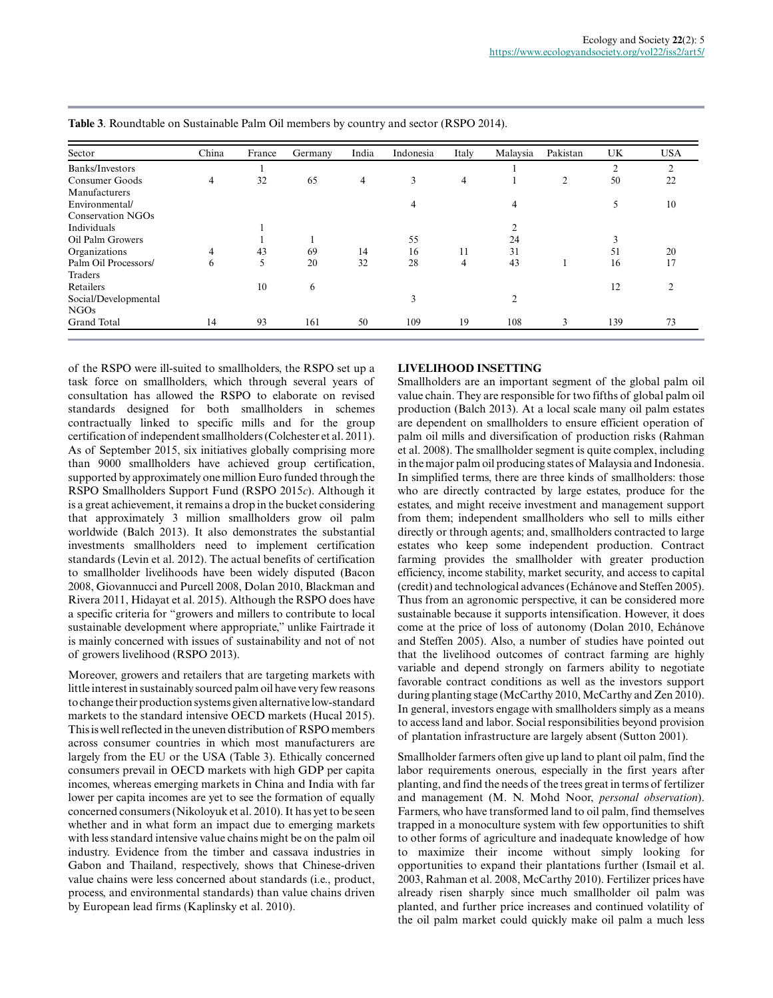| Sector                   | China | France | Germany | India | Indonesia      | Italy | Malaysia       | Pakistan | UK  | <b>USA</b> |
|--------------------------|-------|--------|---------|-------|----------------|-------|----------------|----------|-----|------------|
| Banks/Investors          |       |        |         |       |                |       |                |          | 2   | C          |
| Consumer Goods           | 4     | 32     | 65      | 4     | 3              | 4     |                | 2        | 50  | 22         |
| Manufacturers            |       |        |         |       |                |       |                |          |     |            |
| Environmental/           |       |        |         |       | $\overline{4}$ |       | 4              |          | 5   | 10         |
| <b>Conservation NGOs</b> |       |        |         |       |                |       |                |          |     |            |
| Individuals              |       |        |         |       |                |       | $\overline{c}$ |          |     |            |
| Oil Palm Growers         |       |        |         |       | 55             |       | 24             |          | 3   |            |
| Organizations            | 4     | 43     | 69      | 14    | 16             | 11    | 31             |          | 51  | 20         |
| Palm Oil Processors/     | 6     |        | 20      | 32    | 28             | 4     | 43             |          | 16  | 17         |
| Traders                  |       |        |         |       |                |       |                |          |     |            |
| Retailers                |       | 10     | 6       |       |                |       |                |          | 12  |            |
| Social/Developmental     |       |        |         |       | 3              |       | 2              |          |     |            |
| NGOs                     |       |        |         |       |                |       |                |          |     |            |
| Grand Total              | 14    | 93     | 161     | 50    | 109            | 19    | 108            | 3        | 139 | 73         |

**Table 3**. Roundtable on Sustainable Palm Oil members by country and sector (RSPO 2014).

of the RSPO were ill-suited to smallholders, the RSPO set up a task force on smallholders, which through several years of consultation has allowed the RSPO to elaborate on revised standards designed for both smallholders in schemes contractually linked to specific mills and for the group certification of independent smallholders (Colchester et al. 2011). As of September 2015, six initiatives globally comprising more than 9000 smallholders have achieved group certification, supported by approximately one million Euro funded through the RSPO Smallholders Support Fund (RSPO 2015*c*). Although it is a great achievement, it remains a drop in the bucket considering that approximately 3 million smallholders grow oil palm worldwide (Balch 2013). It also demonstrates the substantial investments smallholders need to implement certification standards (Levin et al. 2012). The actual benefits of certification to smallholder livelihoods have been widely disputed (Bacon 2008, Giovannucci and Purcell 2008, Dolan 2010, Blackman and Rivera 2011, Hidayat et al. 2015). Although the RSPO does have a specific criteria for "growers and millers to contribute to local sustainable development where appropriate," unlike Fairtrade it is mainly concerned with issues of sustainability and not of not of growers livelihood (RSPO 2013).

Moreover, growers and retailers that are targeting markets with little interest in sustainably sourced palm oil have very few reasons to change their production systems given alternative low-standard markets to the standard intensive OECD markets (Hucal 2015). This is well reflected in the uneven distribution of RSPO members across consumer countries in which most manufacturers are largely from the EU or the USA (Table 3). Ethically concerned consumers prevail in OECD markets with high GDP per capita incomes, whereas emerging markets in China and India with far lower per capita incomes are yet to see the formation of equally concerned consumers (Nikoloyuk et al. 2010). It has yet to be seen whether and in what form an impact due to emerging markets with less standard intensive value chains might be on the palm oil industry. Evidence from the timber and cassava industries in Gabon and Thailand, respectively, shows that Chinese-driven value chains were less concerned about standards (i.e., product, process, and environmental standards) than value chains driven by European lead firms (Kaplinsky et al. 2010).

### **LIVELIHOOD INSETTING**

Smallholders are an important segment of the global palm oil value chain. They are responsible for two fifths of global palm oil production (Balch 2013). At a local scale many oil palm estates are dependent on smallholders to ensure efficient operation of palm oil mills and diversification of production risks (Rahman et al. 2008). The smallholder segment is quite complex, including in the major palm oil producing states of Malaysia and Indonesia. In simplified terms, there are three kinds of smallholders: those who are directly contracted by large estates, produce for the estates, and might receive investment and management support from them; independent smallholders who sell to mills either directly or through agents; and, smallholders contracted to large estates who keep some independent production. Contract farming provides the smallholder with greater production efficiency, income stability, market security, and access to capital (credit) and technological advances (Echánove and Steffen 2005). Thus from an agronomic perspective, it can be considered more sustainable because it supports intensification. However, it does come at the price of loss of autonomy (Dolan 2010, Echánove and Steffen 2005). Also, a number of studies have pointed out that the livelihood outcomes of contract farming are highly variable and depend strongly on farmers ability to negotiate favorable contract conditions as well as the investors support during planting stage (McCarthy 2010, McCarthy and Zen 2010). In general, investors engage with smallholders simply as a means to access land and labor. Social responsibilities beyond provision of plantation infrastructure are largely absent (Sutton 2001).

Smallholder farmers often give up land to plant oil palm, find the labor requirements onerous, especially in the first years after planting, and find the needs of the trees great in terms of fertilizer and management (M. N. Mohd Noor, *personal observation*). Farmers, who have transformed land to oil palm, find themselves trapped in a monoculture system with few opportunities to shift to other forms of agriculture and inadequate knowledge of how to maximize their income without simply looking for opportunities to expand their plantations further (Ismail et al. 2003, Rahman et al. 2008, McCarthy 2010). Fertilizer prices have already risen sharply since much smallholder oil palm was planted, and further price increases and continued volatility of the oil palm market could quickly make oil palm a much less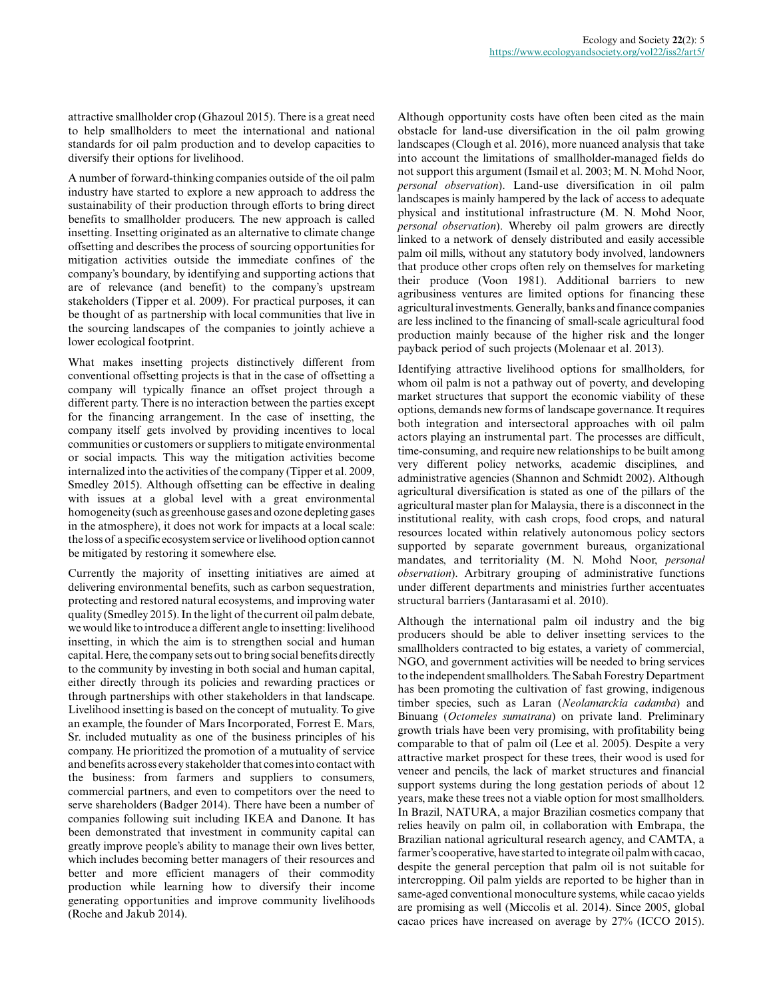attractive smallholder crop (Ghazoul 2015). There is a great need to help smallholders to meet the international and national standards for oil palm production and to develop capacities to diversify their options for livelihood.

A number of forward-thinking companies outside of the oil palm industry have started to explore a new approach to address the sustainability of their production through efforts to bring direct benefits to smallholder producers. The new approach is called insetting. Insetting originated as an alternative to climate change offsetting and describes the process of sourcing opportunities for mitigation activities outside the immediate confines of the company's boundary, by identifying and supporting actions that are of relevance (and benefit) to the company's upstream stakeholders (Tipper et al. 2009). For practical purposes, it can be thought of as partnership with local communities that live in the sourcing landscapes of the companies to jointly achieve a lower ecological footprint.

What makes insetting projects distinctively different from conventional offsetting projects is that in the case of offsetting a company will typically finance an offset project through a different party. There is no interaction between the parties except for the financing arrangement. In the case of insetting, the company itself gets involved by providing incentives to local communities or customers or suppliers to mitigate environmental or social impacts. This way the mitigation activities become internalized into the activities of the company (Tipper et al. 2009, Smedley 2015). Although offsetting can be effective in dealing with issues at a global level with a great environmental homogeneity (such as greenhouse gases and ozone depleting gases in the atmosphere), it does not work for impacts at a local scale: the loss of a specific ecosystem service or livelihood option cannot be mitigated by restoring it somewhere else.

Currently the majority of insetting initiatives are aimed at delivering environmental benefits, such as carbon sequestration, protecting and restored natural ecosystems, and improving water quality (Smedley 2015). In the light of the current oil palm debate, we would like to introduce a different angle to insetting: livelihood insetting, in which the aim is to strengthen social and human capital. Here, the company sets out to bring social benefits directly to the community by investing in both social and human capital, either directly through its policies and rewarding practices or through partnerships with other stakeholders in that landscape. Livelihood insetting is based on the concept of mutuality. To give an example, the founder of Mars Incorporated, Forrest E. Mars, Sr. included mutuality as one of the business principles of his company. He prioritized the promotion of a mutuality of service and benefits across every stakeholder that comes into contact with the business: from farmers and suppliers to consumers, commercial partners, and even to competitors over the need to serve shareholders (Badger 2014). There have been a number of companies following suit including IKEA and Danone. It has been demonstrated that investment in community capital can greatly improve people's ability to manage their own lives better, which includes becoming better managers of their resources and better and more efficient managers of their commodity production while learning how to diversify their income generating opportunities and improve community livelihoods (Roche and Jakub 2014).

Although opportunity costs have often been cited as the main obstacle for land-use diversification in the oil palm growing landscapes (Clough et al. 2016), more nuanced analysis that take into account the limitations of smallholder-managed fields do not support this argument (Ismail et al. 2003; M. N. Mohd Noor, *personal observation*). Land-use diversification in oil palm landscapes is mainly hampered by the lack of access to adequate physical and institutional infrastructure (M. N. Mohd Noor, *personal observation*). Whereby oil palm growers are directly linked to a network of densely distributed and easily accessible palm oil mills, without any statutory body involved, landowners that produce other crops often rely on themselves for marketing their produce (Voon 1981). Additional barriers to new agribusiness ventures are limited options for financing these agricultural investments. Generally, banks and finance companies are less inclined to the financing of small-scale agricultural food production mainly because of the higher risk and the longer payback period of such projects (Molenaar et al. 2013).

Identifying attractive livelihood options for smallholders, for whom oil palm is not a pathway out of poverty, and developing market structures that support the economic viability of these options, demands new forms of landscape governance. It requires both integration and intersectoral approaches with oil palm actors playing an instrumental part. The processes are difficult, time-consuming, and require new relationships to be built among very different policy networks, academic disciplines, and administrative agencies (Shannon and Schmidt 2002). Although agricultural diversification is stated as one of the pillars of the agricultural master plan for Malaysia, there is a disconnect in the institutional reality, with cash crops, food crops, and natural resources located within relatively autonomous policy sectors supported by separate government bureaus, organizational mandates, and territoriality (M. N. Mohd Noor, *personal observation*). Arbitrary grouping of administrative functions under different departments and ministries further accentuates structural barriers (Jantarasami et al. 2010).

Although the international palm oil industry and the big producers should be able to deliver insetting services to the smallholders contracted to big estates, a variety of commercial, NGO, and government activities will be needed to bring services to the independent smallholders. The Sabah Forestry Department has been promoting the cultivation of fast growing, indigenous timber species, such as Laran (*Neolamarckia cadamba*) and Binuang (*Octomeles sumatrana*) on private land. Preliminary growth trials have been very promising, with profitability being comparable to that of palm oil (Lee et al. 2005). Despite a very attractive market prospect for these trees, their wood is used for veneer and pencils, the lack of market structures and financial support systems during the long gestation periods of about 12 years, make these trees not a viable option for most smallholders. In Brazil, NATURA, a major Brazilian cosmetics company that relies heavily on palm oil, in collaboration with Embrapa, the Brazilian national agricultural research agency, and CAMTA, a farmer's cooperative, have started to integrate oil palm with cacao, despite the general perception that palm oil is not suitable for intercropping. Oil palm yields are reported to be higher than in same-aged conventional monoculture systems, while cacao yields are promising as well (Miccolis et al. 2014). Since 2005, global cacao prices have increased on average by 27% (ICCO 2015).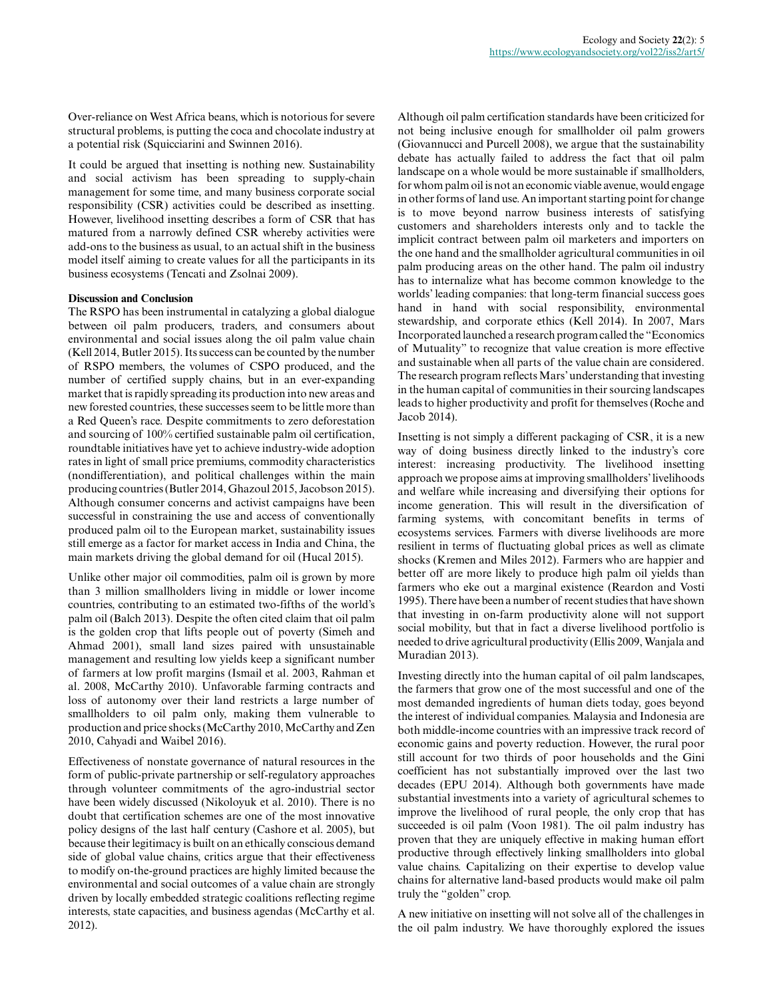Over-reliance on West Africa beans, which is notorious for severe structural problems, is putting the coca and chocolate industry at a potential risk (Squicciarini and Swinnen 2016).

It could be argued that insetting is nothing new. Sustainability and social activism has been spreading to supply-chain management for some time, and many business corporate social responsibility (CSR) activities could be described as insetting. However, livelihood insetting describes a form of CSR that has matured from a narrowly defined CSR whereby activities were add-ons to the business as usual, to an actual shift in the business model itself aiming to create values for all the participants in its business ecosystems (Tencati and Zsolnai 2009).

#### **Discussion and Conclusion**

The RSPO has been instrumental in catalyzing a global dialogue between oil palm producers, traders, and consumers about environmental and social issues along the oil palm value chain (Kell 2014, Butler 2015). Its success can be counted by the number of RSPO members, the volumes of CSPO produced, and the number of certified supply chains, but in an ever-expanding market that is rapidly spreading its production into new areas and new forested countries, these successes seem to be little more than a Red Queen's race. Despite commitments to zero deforestation and sourcing of 100% certified sustainable palm oil certification, roundtable initiatives have yet to achieve industry-wide adoption rates in light of small price premiums, commodity characteristics (nondifferentiation), and political challenges within the main producing countries (Butler 2014, Ghazoul 2015, Jacobson 2015). Although consumer concerns and activist campaigns have been successful in constraining the use and access of conventionally produced palm oil to the European market, sustainability issues still emerge as a factor for market access in India and China, the main markets driving the global demand for oil (Hucal 2015).

Unlike other major oil commodities, palm oil is grown by more than 3 million smallholders living in middle or lower income countries, contributing to an estimated two-fifths of the world's palm oil (Balch 2013). Despite the often cited claim that oil palm is the golden crop that lifts people out of poverty (Simeh and Ahmad 2001), small land sizes paired with unsustainable management and resulting low yields keep a significant number of farmers at low profit margins (Ismail et al. 2003, Rahman et al. 2008, McCarthy 2010). Unfavorable farming contracts and loss of autonomy over their land restricts a large number of smallholders to oil palm only, making them vulnerable to production and price shocks (McCarthy 2010, McCarthy and Zen 2010, Cahyadi and Waibel 2016).

Effectiveness of nonstate governance of natural resources in the form of public-private partnership or self-regulatory approaches through volunteer commitments of the agro-industrial sector have been widely discussed (Nikoloyuk et al. 2010). There is no doubt that certification schemes are one of the most innovative policy designs of the last half century (Cashore et al. 2005), but because their legitimacy is built on an ethically conscious demand side of global value chains, critics argue that their effectiveness to modify on-the-ground practices are highly limited because the environmental and social outcomes of a value chain are strongly driven by locally embedded strategic coalitions reflecting regime interests, state capacities, and business agendas (McCarthy et al. 2012).

Although oil palm certification standards have been criticized for not being inclusive enough for smallholder oil palm growers (Giovannucci and Purcell 2008), we argue that the sustainability debate has actually failed to address the fact that oil palm landscape on a whole would be more sustainable if smallholders, for whom palm oil is not an economic viable avenue, would engage in other forms of land use. An important starting point for change is to move beyond narrow business interests of satisfying customers and shareholders interests only and to tackle the implicit contract between palm oil marketers and importers on the one hand and the smallholder agricultural communities in oil palm producing areas on the other hand. The palm oil industry has to internalize what has become common knowledge to the worlds' leading companies: that long-term financial success goes hand in hand with social responsibility, environmental stewardship, and corporate ethics (Kell 2014). In 2007, Mars Incorporated launched a research program called the "Economics of Mutuality" to recognize that value creation is more effective and sustainable when all parts of the value chain are considered. The research program reflects Mars' understanding that investing in the human capital of communities in their sourcing landscapes leads to higher productivity and profit for themselves (Roche and Jacob 2014).

Insetting is not simply a different packaging of CSR, it is a new way of doing business directly linked to the industry's core interest: increasing productivity. The livelihood insetting approach we propose aims at improving smallholders' livelihoods and welfare while increasing and diversifying their options for income generation. This will result in the diversification of farming systems, with concomitant benefits in terms of ecosystems services. Farmers with diverse livelihoods are more resilient in terms of fluctuating global prices as well as climate shocks (Kremen and Miles 2012). Farmers who are happier and better off are more likely to produce high palm oil yields than farmers who eke out a marginal existence (Reardon and Vosti 1995). There have been a number of recent studies that have shown that investing in on-farm productivity alone will not support social mobility, but that in fact a diverse livelihood portfolio is needed to drive agricultural productivity (Ellis 2009, Wanjala and Muradian 2013).

Investing directly into the human capital of oil palm landscapes, the farmers that grow one of the most successful and one of the most demanded ingredients of human diets today, goes beyond the interest of individual companies. Malaysia and Indonesia are both middle-income countries with an impressive track record of economic gains and poverty reduction. However, the rural poor still account for two thirds of poor households and the Gini coefficient has not substantially improved over the last two decades (EPU 2014). Although both governments have made substantial investments into a variety of agricultural schemes to improve the livelihood of rural people, the only crop that has succeeded is oil palm (Voon 1981). The oil palm industry has proven that they are uniquely effective in making human effort productive through effectively linking smallholders into global value chains. Capitalizing on their expertise to develop value chains for alternative land-based products would make oil palm truly the "golden" crop.

A new initiative on insetting will not solve all of the challenges in the oil palm industry. We have thoroughly explored the issues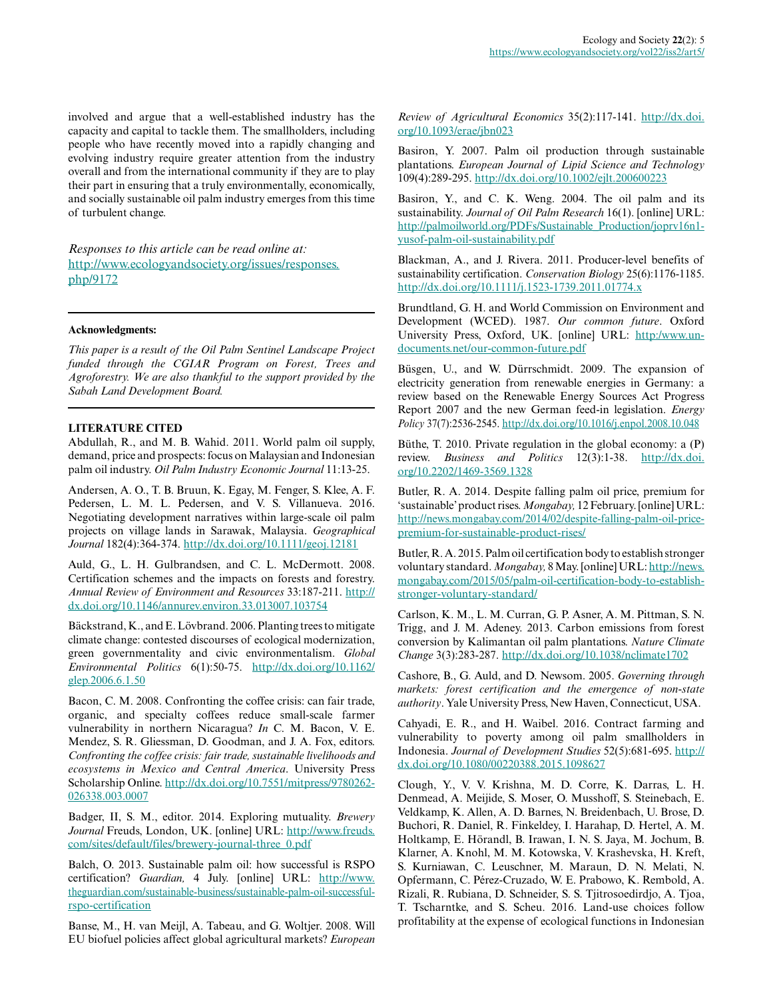involved and argue that a well-established industry has the capacity and capital to tackle them. The smallholders, including people who have recently moved into a rapidly changing and evolving industry require greater attention from the industry overall and from the international community if they are to play their part in ensuring that a truly environmentally, economically, and socially sustainable oil palm industry emerges from this time of turbulent change.

*Responses to this article can be read online at:* [http://www.ecologyandsociety.org/issues/responses.](http://www.ecologyandsociety.org/issues/responses.php/9172) [php/9172](http://www.ecologyandsociety.org/issues/responses.php/9172)

#### **Acknowledgments:**

*This paper is a result of the Oil Palm Sentinel Landscape Project funded through the CGIAR Program on Forest, Trees and Agroforestry. We are also thankful to the support provided by the Sabah Land Development Board.*

### **LITERATURE CITED**

Abdullah, R., and M. B. Wahid. 2011. World palm oil supply, demand, price and prospects: focus on Malaysian and Indonesian palm oil industry. *Oil Palm Industry Economic Journal* 11:13-25.

Andersen, A. O., T. B. Bruun, K. Egay, M. Fenger, S. Klee, A. F. Pedersen, L. M. L. Pedersen, and V. S. Villanueva. 2016. Negotiating development narratives within large-scale oil palm projects on village lands in Sarawak, Malaysia. *Geographical Journal* 182(4):364-374. [http://dx.doi.org/10.1111/geoj.12181](http://dx.doi.org/10.1111%2Fgeoj.12181)

Auld, G., L. H. Gulbrandsen, and C. L. McDermott. 2008. Certification schemes and the impacts on forests and forestry. *Annual Review of Environment and Resources* 33:187-211. [http://](http://dx.doi.org/10.1146%2Fannurev.environ.33.013007.103754) [dx.doi.org/10.1146/annurev.environ.33.013007.103754](http://dx.doi.org/10.1146%2Fannurev.environ.33.013007.103754)

Bäckstrand, K., and E. Lövbrand. 2006. Planting trees to mitigate climate change: contested discourses of ecological modernization, green governmentality and civic environmentalism. *Global Environmental Politics* 6(1):50-75. [http://dx.doi.org/10.1162/](http://dx.doi.org/10.1162%2Fglep.2006.6.1.50) [glep.2006.6.1.50](http://dx.doi.org/10.1162%2Fglep.2006.6.1.50)

Bacon, C. M. 2008. Confronting the coffee crisis: can fair trade, organic, and specialty coffees reduce small-scale farmer vulnerability in northern Nicaragua? *In* C. M. Bacon, V. E. Mendez, S. R. Gliessman, D. Goodman, and J. A. Fox, editors. *Confronting the coffee crisis: fair trade, sustainable livelihoods and ecosystems in Mexico and Central America*. University Press Scholarship Online. [http://dx.doi.org/10.7551/mitpress/9780262](http://dx.doi.org/10.7551/mitpress/9780262026338.003.0007)-[026338.003.0007](http://dx.doi.org/10.7551/mitpress/9780262026338.003.0007)

Badger, II, S. M., editor. 2014. Exploring mutuality. *Brewery Journal* Freuds, London, UK. [online] URL: [http://www.freuds.](http://www.freuds.com/sites/default/files/brewery-journal-three_0.pdf) [com/sites/default/files/brewery-journal-three\\_0.pdf](http://www.freuds.com/sites/default/files/brewery-journal-three_0.pdf)

Balch, O. 2013. Sustainable palm oil: how successful is RSPO certification? *Guardian,* 4 July. [online] URL: [http://www.](http://www.theguardian.com/sustainable-business/sustainable-palm-oil-successful-rspo-certification) [theguardian.com/sustainable-business/sustainable-palm-oil-successful](http://www.theguardian.com/sustainable-business/sustainable-palm-oil-successful-rspo-certification)[rspo-certification](http://www.theguardian.com/sustainable-business/sustainable-palm-oil-successful-rspo-certification) 

Banse, M., H. van Meijl, A. Tabeau, and G. Woltjer. 2008. Will EU biofuel policies affect global agricultural markets? *European*

*Review of Agricultural Economics* 35(2):117-141. [http://dx.doi.](http://dx.doi.org/10.1093%2Ferae%2Fjbn023) [org/10.1093/erae/jbn023](http://dx.doi.org/10.1093%2Ferae%2Fjbn023)

Basiron, Y. 2007. Palm oil production through sustainable plantations. *European Journal of Lipid Science and Technology* 109(4):289-295. [http://dx.doi.org/10.1002/ejlt.200600223](http://dx.doi.org/10.1002%2Fejlt.200600223)

Basiron, Y., and C. K. Weng. 2004. The oil palm and its sustainability. *Journal of Oil Palm Research* 16(1). [online] URL: [http://palmoilworld.org/PDFs/Sustainable\\_Production/joprv16n1](http://palmoilworld.org/PDFs/Sustainable_Production/joprv16n1-yusof-palm-oil-sustainability.pdf) [yusof-palm-oil-sustainability.pdf](http://palmoilworld.org/PDFs/Sustainable_Production/joprv16n1-yusof-palm-oil-sustainability.pdf)

Blackman, A., and J. Rivera. 2011. Producer-level benefits of sustainability certification. *Conservation Biology* 25(6):1176-1185. [http://dx.doi.org/10.1111/j.1523-1739.2011.01774.x](http://dx.doi.org/10.1111%2Fj.1523-1739.2011.01774.x) 

Brundtland, G. H. and World Commission on Environment and Development (WCED). 1987. *Our common future*. Oxford University Press, Oxford, UK. [online] URL: [http:/www.un](http://www.un-documents.net/our-common-future.pdf)[documents.net/our-common-future.pdf](http://www.un-documents.net/our-common-future.pdf)

Büsgen, U., and W. Dürrschmidt. 2009. The expansion of electricity generation from renewable energies in Germany: a review based on the Renewable Energy Sources Act Progress Report 2007 and the new German feed-in legislation. *Energy Policy* 37(7):2536-2545. [http://dx.doi.org/10.1016/j.enpol.2008.10.048](http://dx.doi.org/10.1016%2Fj.enpol.2008.10.048) 

Büthe, T. 2010. Private regulation in the global economy: a (P) review. *Business and Politics* 12(3):1-38. [http://dx.doi.](http://dx.doi.org/10.2202%2F1469-3569.1328) [org/10.2202/1469-3569.1328](http://dx.doi.org/10.2202%2F1469-3569.1328) 

Butler, R. A. 2014. Despite falling palm oil price, premium for 'sustainable' product rises. *Mongabay,* 12 February. [online] URL: [http://news.mongabay.com/2014/02/despite-falling-palm-oil-price](http://news.mongabay.com/2014/02/despite-falling-palm-oil-price-premium-for-sustainable-product-rises/)[premium-for-sustainable-product-rises/](http://news.mongabay.com/2014/02/despite-falling-palm-oil-price-premium-for-sustainable-product-rises/) 

Butler, R. A. 2015. Palm oil certification body to establish stronger voluntary standard. *Mongabay,* 8 May. [online] URL: [http://news.](http://news.mongabay.com/2015/05/palm-oil-certification-body-to-establish-stronger-voluntary-standard/) [mongabay.com/2015/05/palm-oil-certification-body-to-establish](http://news.mongabay.com/2015/05/palm-oil-certification-body-to-establish-stronger-voluntary-standard/)[stronger-voluntary-standard/](http://news.mongabay.com/2015/05/palm-oil-certification-body-to-establish-stronger-voluntary-standard/) 

Carlson, K. M., L. M. Curran, G. P. Asner, A. M. Pittman, S. N. Trigg, and J. M. Adeney. 2013. Carbon emissions from forest conversion by Kalimantan oil palm plantations. *Nature Climate Change* 3(3):283-287. [http://dx.doi.org/10.1038/nclimate1702](http://dx.doi.org/10.1038%2Fnclimate1702)

Cashore, B., G. Auld, and D. Newsom. 2005. *Governing through markets: forest certification and the emergence of non-state authority*. Yale University Press, New Haven, Connecticut, USA.

Cahyadi, E. R., and H. Waibel. 2016. Contract farming and vulnerability to poverty among oil palm smallholders in Indonesia. *Journal of Development Studies* 52(5):681-695. [http://](http://dx.doi.org/10.1080%2F00220388.2015.1098627) [dx.doi.org/10.1080/00220388.2015.1098627](http://dx.doi.org/10.1080%2F00220388.2015.1098627)

Clough, Y., V. V. Krishna, M. D. Corre, K. Darras, L. H. Denmead, A. Meijide, S. Moser, O. Musshoff, S. Steinebach, E. Veldkamp, K. Allen, A. D. Barnes, N. Breidenbach, U. Brose, D. Buchori, R. Daniel, R. Finkeldey, I. Harahap, D. Hertel, A. M. Holtkamp, E. Hörandl, B. Irawan, I. N. S. Jaya, M. Jochum, B. Klarner, A. Knohl, M. M. Kotowska, V. Krashevska, H. Kreft, S. Kurniawan, C. Leuschner, M. Maraun, D. N. Melati, N. Opfermann, C. Pérez-Cruzado, W. E. Prabowo, K. Rembold, A. Rizali, R. Rubiana, D. Schneider, S. S. Tjitrosoedirdjo, A. Tjoa, T. Tscharntke, and S. Scheu. 2016. Land-use choices follow profitability at the expense of ecological functions in Indonesian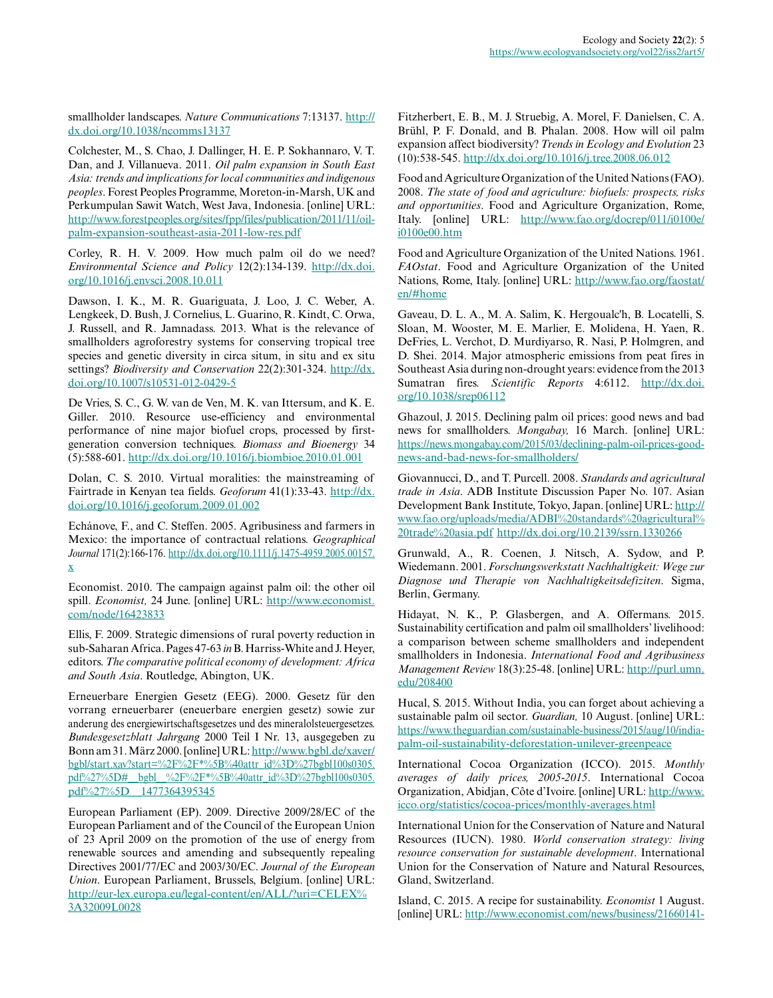smallholder landscapes. *Nature Communications* 7:13137. [http://](http://dx.doi.org/10.1038%2Fncomms13137) [dx.doi.org/10.1038/ncomms13137](http://dx.doi.org/10.1038%2Fncomms13137) 

Colchester, M., S. Chao, J. Dallinger, H. E. P. Sokhannaro, V. T. Dan, and J. Villanueva. 2011. *Oil palm expansion in South East Asia: trends and implications for local communities and indigenous peoples*. Forest Peoples Programme, Moreton-in-Marsh, UK and Perkumpulan Sawit Watch, West Java, Indonesia. [online] URL: [http://www.forestpeoples.org/sites/fpp/files/publication/2011/11/oil](http://www.forestpeoples.org/sites/fpp/files/publication/2011/11/oil-palm-expansion-southeast-asia-2011-low-res.pdf)[palm-expansion-southeast-asia-2011-low-res.pdf](http://www.forestpeoples.org/sites/fpp/files/publication/2011/11/oil-palm-expansion-southeast-asia-2011-low-res.pdf)

Corley, R. H. V. 2009. How much palm oil do we need? *Environmental Science and Policy* 12(2):134-139. [http://dx.doi.](http://dx.doi.org/10.1016%2Fj.envsci.2008.10.011) [org/10.1016/j.envsci.2008.10.011](http://dx.doi.org/10.1016%2Fj.envsci.2008.10.011) 

Dawson, I. K., M. R. Guariguata, J. Loo, J. C. Weber, A. Lengkeek, D. Bush, J. Cornelius, L. Guarino, R. Kindt, C. Orwa, J. Russell, and R. Jamnadass. 2013. What is the relevance of smallholders agroforestry systems for conserving tropical tree species and genetic diversity in circa situm, in situ and ex situ settings? *Biodiversity and Conservation* 22(2):301-324. [http://dx.](http://dx.doi.org/10.1007%2Fs10531-012-0429-5) [doi.org/10.1007/s10531-012-0429-5](http://dx.doi.org/10.1007%2Fs10531-012-0429-5) 

De Vries, S. C., G. W. van de Ven, M. K. van Ittersum, and K. E. Giller. 2010. Resource use-efficiency and environmental performance of nine major biofuel crops, processed by firstgeneration conversion techniques. *Biomass and Bioenergy* 34 (5):588-601. [http://dx.doi.org/10.1016/j.biombioe.2010.01.001](http://dx.doi.org/10.1016%2Fj.biombioe.2010.01.001)

Dolan, C. S. 2010. Virtual moralities: the mainstreaming of Fairtrade in Kenyan tea fields. *Geoforum* 41(1):33-43. [http://dx.](http://dx.doi.org/10.1016%2Fj.geoforum.2009.01.002) [doi.org/10.1016/j.geoforum.2009.01.002](http://dx.doi.org/10.1016%2Fj.geoforum.2009.01.002) 

Echánove, F., and C. Steffen. 2005. Agribusiness and farmers in Mexico: the importance of contractual relations. *Geographical Journal* 171(2):166-176. [http://dx.doi.org/10.1111/j.1475-4959.2005.00157.](http://dx.doi.org/10.1111%2Fj.1475-4959.2005.00157.x) [x](http://dx.doi.org/10.1111%2Fj.1475-4959.2005.00157.x)

Economist. 2010. The campaign against palm oil: the other oil spill. *Economist,* 24 June. [online] URL: [http://www.economist.](http://www.economist.com/node/16423833) [com/node/16423833](http://www.economist.com/node/16423833)

Ellis, F. 2009. Strategic dimensions of rural poverty reduction in sub-Saharan Africa. Pages 47-63 *in* B. Harriss-White and J. Heyer, editors. *The comparative political economy of development: Africa and South Asia*. Routledge, Abington, UK.

Erneuerbare Energien Gesetz (EEG). 2000. Gesetz für den vorrang erneuerbarer (eneuerbare energien gesetz) sowie zur anderung des energiewirtschaftsgesetzes und des mineralolsteuergesetzes. *Bundesgesetzblatt Jahrgang* 2000 Teil I Nr. 13, ausgegeben zu Bonn am 31. März 2000. [online] URL: [http://www.bgbl.de/xaver/](http://www.bgbl.de/xaver/bgbl/start.xav?start=%2F%2F*%5B%40attr_id%3D%27bgbl100s0305.pdf%27%5D#__bgbl__%2F%2F*%5B%40attr_id%3D%27bgbl100s0305.pdf%27%5D__1477364395345) [bgbl/start.xav?start=%2F%2F\\*%5B%40attr\\_id%3D%27bgbl100s0305.](http://www.bgbl.de/xaver/bgbl/start.xav?start=%2F%2F*%5B%40attr_id%3D%27bgbl100s0305.pdf%27%5D#__bgbl__%2F%2F*%5B%40attr_id%3D%27bgbl100s0305.pdf%27%5D__1477364395345) pdf%27%5D#\_bgbl\_%2F%2F\*%5B%40attr\_id%3D%27bgbl100s0305. [pdf%27%5D\\_\\_1477364395345](http://www.bgbl.de/xaver/bgbl/start.xav?start=%2F%2F*%5B%40attr_id%3D%27bgbl100s0305.pdf%27%5D#__bgbl__%2F%2F*%5B%40attr_id%3D%27bgbl100s0305.pdf%27%5D__1477364395345)

European Parliament (EP). 2009. Directive 2009/28/EC of the European Parliament and of the Council of the European Union of 23 April 2009 on the promotion of the use of energy from renewable sources and amending and subsequently repealing Directives 2001/77/EC and 2003/30/EC. *Journal of the European Union*. European Parliament, Brussels, Belgium. [online] URL: [http://eur-lex.europa.eu/legal-content/en/ALL/?uri=CELEX%](http://eur-lex.europa.eu/legal-content/en/ALL/?uri=CELEX%3A32009L0028) [3A32009L0028](http://eur-lex.europa.eu/legal-content/en/ALL/?uri=CELEX%3A32009L0028) 

Fitzherbert, E. B., M. J. Struebig, A. Morel, F. Danielsen, C. A. Brühl, P. F. Donald, and B. Phalan. 2008. How will oil palm expansion affect biodiversity? *Trends in Ecology and Evolution* 23 (10):538-545. [http://dx.doi.org/10.1016/j.tree.2008.06.012](http://dx.doi.org/10.1016%2Fj.tree.2008.06.012) 

Food and Agriculture Organization of the United Nations (FAO). 2008. *The state of food and agriculture: biofuels: prospects, risks and opportunities*. Food and Agriculture Organization, Rome, Italy. [online] URL: [http://www.fao.org/docrep/011/i0100e/](http://www.fao.org/docrep/011/i0100e/i0100e00.htm) [i0100e00.htm](http://www.fao.org/docrep/011/i0100e/i0100e00.htm)

Food and Agriculture Organization of the United Nations. 1961. *FAOstat*. Food and Agriculture Organization of the United Nations, Rome, Italy. [online] URL: [http://www.fao.org/faostat/](http://www.fao.org/faostat/en/#home) [en/#home](http://www.fao.org/faostat/en/#home) 

Gaveau, D. L. A., M. A. Salim, K. Hergoualc'h, B. Locatelli, S. Sloan, M. Wooster, M. E. Marlier, E. Molidena, H. Yaen, R. DeFries, L. Verchot, D. Murdiyarso, R. Nasi, P. Holmgren, and D. Shei. 2014. Major atmospheric emissions from peat fires in Southeast Asia during non-drought years: evidence from the 2013 Sumatran fires. *Scientific Reports* 4:6112. [http://dx.doi.](http://dx.doi.org/10.1038/srep06112) [org/10.1038/srep06112](http://dx.doi.org/10.1038/srep06112)

Ghazoul, J. 2015. Declining palm oil prices: good news and bad news for smallholders. *Mongabay,* 16 March. [online] URL: [https://news.mongabay.com/2015/03/declining-palm-oil-prices-good](https://news.mongabay.com/2015/03/declining-palm-oil-prices-good-news-and-bad-news-for-smallholders/)[news-and-bad-news-for-smallholders/](https://news.mongabay.com/2015/03/declining-palm-oil-prices-good-news-and-bad-news-for-smallholders/)

Giovannucci, D., and T. Purcell. 2008. *Standards and agricultural trade in Asia*. ADB Institute Discussion Paper No. 107. Asian Development Bank Institute, Tokyo, Japan. [online] URL: [http://](http://www.fao.org/uploads/media/ADBI%20standards%20agricultural%20trade%20asia.pdf) [www.fao.org/uploads/media/ADBI%20standards%20agricultural%](http://www.fao.org/uploads/media/ADBI%20standards%20agricultural%20trade%20asia.pdf) [20trade%20asia.pdf](http://www.fao.org/uploads/media/ADBI%20standards%20agricultural%20trade%20asia.pdf) [http://dx.doi.org/10.2139/ssrn.1330266](http://dx.doi.org/10.2139%2Fssrn.1330266)

Grunwald, A., R. Coenen, J. Nitsch, A. Sydow, and P. Wiedemann. 2001. *Forschungswerkstatt Nachhaltigkeit: Wege zur Diagnose und Therapie von Nachhaltigkeitsdefiziten*. Sigma, Berlin, Germany.

Hidayat, N. K., P. Glasbergen, and A. Offermans. 2015. Sustainability certification and palm oil smallholders' livelihood: a comparison between scheme smallholders and independent smallholders in Indonesia. *International Food and Agribusiness Management Review* 18(3):25-48. [online] URL: [http://purl.umn.](http://purl.umn.edu/208400) [edu/208400](http://purl.umn.edu/208400)

Hucal, S. 2015. Without India, you can forget about achieving a sustainable palm oil sector. *Guardian,* 10 August. [online] URL: [https://www.theguardian.com/sustainable-business/2015/aug/10/india](https://www.theguardian.com/sustainable-business/2015/aug/10/india-palm-oil-sustainability-deforestation-unilever-greenpeace)[palm-oil-sustainability-deforestation-unilever-greenpeace](https://www.theguardian.com/sustainable-business/2015/aug/10/india-palm-oil-sustainability-deforestation-unilever-greenpeace) 

International Cocoa Organization (ICCO). 2015. *Monthly averages of daily prices, 2005-2015*. International Cocoa Organization, Abidjan, Côte d'Ivoire. [online] URL: [http://www.](http://www.icco.org/statistics/cocoa-prices/monthly-averages.html) [icco.org/statistics/cocoa-prices/monthly-averages.html](http://www.icco.org/statistics/cocoa-prices/monthly-averages.html)

International Union for the Conservation of Nature and Natural Resources (IUCN). 1980. *World conservation strategy: living resource conservation for sustainable development*. International Union for the Conservation of Nature and Natural Resources, Gland, Switzerland.

Island, C. 2015. A recipe for sustainability. *Economist* 1 August. [online] URL: [http://www.economist.com/news/business/21660141-](http://www.economist.com/news/business/21660141-palm-oil-firms-are-trying-go-green-governments-could-do-more-help-recipe)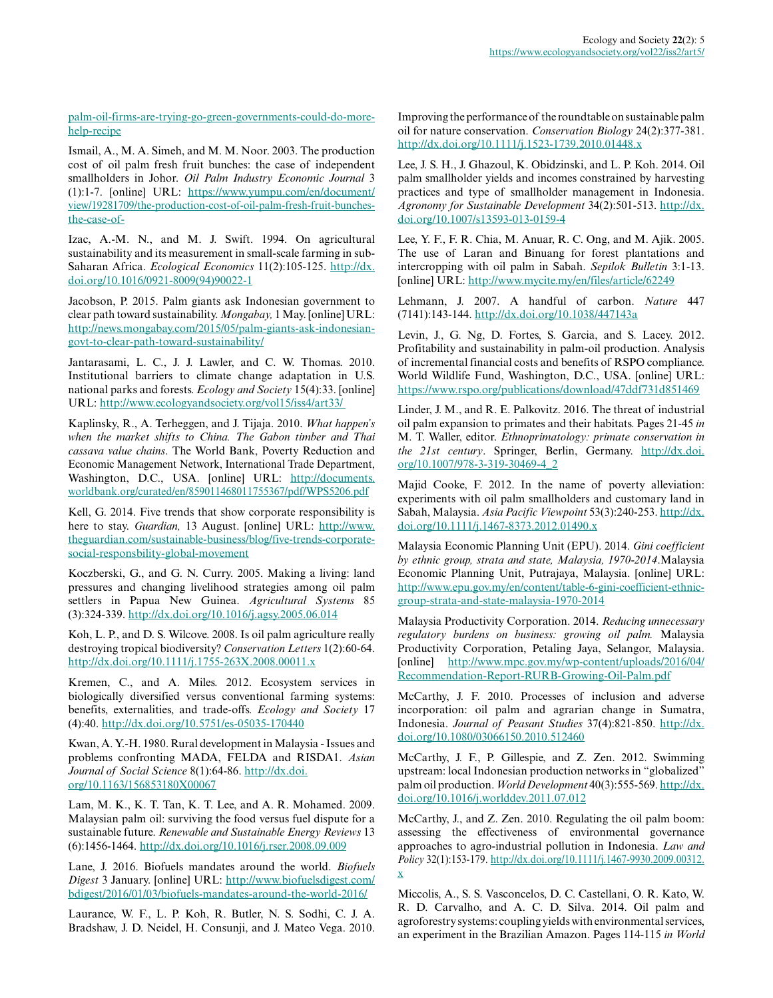[palm-oil-firms-are-trying-go-green-governments-could-do-more](http://www.economist.com/news/business/21660141-palm-oil-firms-are-trying-go-green-governments-could-do-more-help-recipe)[help-recipe](http://www.economist.com/news/business/21660141-palm-oil-firms-are-trying-go-green-governments-could-do-more-help-recipe) 

Ismail, A., M. A. Simeh, and M. M. Noor. 2003. The production cost of oil palm fresh fruit bunches: the case of independent smallholders in Johor. *Oil Palm Industry Economic Journal* 3 (1):1-7. [online] URL: [https://www.yumpu.com/en/document/](https://www.yumpu.com/en/document/view/19281709/the-production-cost-of-oil-palm-fresh-fruit-bunches-the-case-of-) [view/19281709/the-production-cost-of-oil-palm-fresh-fruit-bunches](https://www.yumpu.com/en/document/view/19281709/the-production-cost-of-oil-palm-fresh-fruit-bunches-the-case-of-)[the-case-of-](https://www.yumpu.com/en/document/view/19281709/the-production-cost-of-oil-palm-fresh-fruit-bunches-the-case-of-)

Izac, A.-M. N., and M. J. Swift. 1994. On agricultural sustainability and its measurement in small-scale farming in sub-Saharan Africa. *Ecological Economics* 11(2):105-125. [http://dx.](http://dx.doi.org/10.1016%2F0921-8009%2894%2990022-1) [doi.org/10.1016/0921-8009\(94\)90022-1](http://dx.doi.org/10.1016%2F0921-8009%2894%2990022-1) 

Jacobson, P. 2015. Palm giants ask Indonesian government to clear path toward sustainability. *Mongabay,* 1 May. [online] URL: [http://news.mongabay.com/2015/05/palm-giants-ask-indonesian](http://news.mongabay.com/2015/05/palm-giants-ask-indonesian-govt-to-clear-path-toward-sustainability/)[govt-to-clear-path-toward-sustainability/](http://news.mongabay.com/2015/05/palm-giants-ask-indonesian-govt-to-clear-path-toward-sustainability/) 

Jantarasami, L. C., J. J. Lawler, and C. W. Thomas. 2010. Institutional barriers to climate change adaptation in U.S. national parks and forests. *Ecology and Society* 15(4):33. [online] URL:<http://www.ecologyandsociety.org/vol15/iss4/art33/>

Kaplinsky, R., A. Terheggen, and J. Tijaja. 2010. *What happen's when the market shifts to China. The Gabon timber and Thai cassava value chains*. The World Bank, Poverty Reduction and Economic Management Network, International Trade Department, Washington, D.C., USA. [online] URL: [http://documents.](http://documents.worldbank.org/curated/en/859011468011755367/pdf/WPS5206.pdf) [worldbank.org/curated/en/859011468011755367/pdf/WPS5206.pdf](http://documents.worldbank.org/curated/en/859011468011755367/pdf/WPS5206.pdf)

Kell, G. 2014. Five trends that show corporate responsibility is here to stay. *Guardian,* 13 August. [online] URL: [http://www.](http://www.theguardian.com/sustainable-business/blog/five-trends-corporate-social-responsbility-global-movement) [theguardian.com/sustainable-business/blog/five-trends-corporate](http://www.theguardian.com/sustainable-business/blog/five-trends-corporate-social-responsbility-global-movement)[social-responsbility-global-movement](http://www.theguardian.com/sustainable-business/blog/five-trends-corporate-social-responsbility-global-movement)

Koczberski, G., and G. N. Curry. 2005. Making a living: land pressures and changing livelihood strategies among oil palm settlers in Papua New Guinea. *Agricultural Systems* 85 (3):324-339. [http://dx.doi.org/10.1016/j.agsy.2005.06.014](http://dx.doi.org/10.1016%2Fj.agsy.2005.06.014)

Koh, L. P., and D. S. Wilcove. 2008. Is oil palm agriculture really destroying tropical biodiversity? *Conservation Letters* 1(2):60-64. [http://dx.doi.org/10.1111/j.1755-263X.2008.00011.x](http://dx.doi.org/10.1111%2Fj.1755-263X.2008.00011.x) 

Kremen, C., and A. Miles. 2012. Ecosystem services in biologically diversified versus conventional farming systems: benefits, externalities, and trade-offs. *Ecology and Society* 17 (4):40. [http://dx.doi.org/10.5751/es-05035-170440](http://dx.doi.org/10.5751%2Fes-05035-170440) 

Kwan, A. Y.-H. 1980. Rural development in Malaysia - Issues and problems confronting MADA, FELDA and RISDA1. *Asian Journal of Social Science* 8(1):64-86. [http://dx.doi.](http://dx.doi.org/10.1163%2F156853180X00067) [org/10.1163/156853180X00067](http://dx.doi.org/10.1163%2F156853180X00067)

Lam, M. K., K. T. Tan, K. T. Lee, and A. R. Mohamed. 2009. Malaysian palm oil: surviving the food versus fuel dispute for a sustainable future. *Renewable and Sustainable Energy Reviews* 13 (6):1456-1464. [http://dx.doi.org/10.1016/j.rser.2008.09.009](http://dx.doi.org/10.1016%2Fj.rser.2008.09.009)

Lane, J. 2016. Biofuels mandates around the world. *Biofuels Digest* 3 January. [online] URL: [http://www.biofuelsdigest.com/](http://www.biofuelsdigest.com/bdigest/2016/01/03/biofuels-mandates-around-the-world-2016/) [bdigest/2016/01/03/biofuels-mandates-around-the-world-2016/](http://www.biofuelsdigest.com/bdigest/2016/01/03/biofuels-mandates-around-the-world-2016/) 

Laurance, W. F., L. P. Koh, R. Butler, N. S. Sodhi, C. J. A. Bradshaw, J. D. Neidel, H. Consunji, and J. Mateo Vega. 2010. Improving the performance of the roundtable on sustainable palm oil for nature conservation. *Conservation Biology* 24(2):377-381. [http://dx.doi.org/10.1111/j.1523-1739.2010.01448.x](http://dx.doi.org/10.1111%2Fj.1523-1739.2010.01448.x) 

Lee, J. S. H., J. Ghazoul, K. Obidzinski, and L. P. Koh. 2014. Oil palm smallholder yields and incomes constrained by harvesting practices and type of smallholder management in Indonesia. *Agronomy for Sustainable Development* 34(2):501-513. [http://dx.](http://dx.doi.org/10.1007%2Fs13593-013-0159-4) [doi.org/10.1007/s13593-013-0159-4](http://dx.doi.org/10.1007%2Fs13593-013-0159-4) 

Lee, Y. F., F. R. Chia, M. Anuar, R. C. Ong, and M. Ajik. 2005. The use of Laran and Binuang for forest plantations and intercropping with oil palm in Sabah. *Sepilok Bulletin* 3:1-13. [online] URL: <http://www.mycite.my/en/files/article/62249>

Lehmann, J. 2007. A handful of carbon. *Nature* 447 (7141):143-144. [http://dx.doi.org/10.1038/447143a](http://dx.doi.org/10.1038%2F447143a) 

Levin, J., G. Ng, D. Fortes, S. Garcia, and S. Lacey. 2012. Profitability and sustainability in palm-oil production. Analysis of incremental financial costs and benefits of RSPO compliance. World Wildlife Fund, Washington, D.C., USA. [online] URL: <https://www.rspo.org/publications/download/47ddf731d851469>

Linder, J. M., and R. E. Palkovitz. 2016. The threat of industrial oil palm expansion to primates and their habitats. Pages 21-45 *in* M. T. Waller, editor. *Ethnoprimatology: primate conservation in the 21st century*. Springer, Berlin, Germany. [http://dx.doi.](http://dx.doi.org/10.1007%2F978-3-319-30469-4_2) [org/10.1007/978-3-319-30469-4\\_2](http://dx.doi.org/10.1007%2F978-3-319-30469-4_2) 

Majid Cooke, F. 2012. In the name of poverty alleviation: experiments with oil palm smallholders and customary land in Sabah, Malaysia. *Asia Pacific Viewpoint* 53(3):240-253. [http://dx.](http://dx.doi.org/10.1111%2Fj.1467-8373.2012.01490.x) [doi.org/10.1111/j.1467-8373.2012.01490.x](http://dx.doi.org/10.1111%2Fj.1467-8373.2012.01490.x)

Malaysia Economic Planning Unit (EPU). 2014. *Gini coefficient by ethnic group, strata and state, Malaysia, 1970-2014*.Malaysia Economic Planning Unit, Putrajaya, Malaysia. [online] URL: [http://www.epu.gov.my/en/content/table-6-gini-coefficient-ethnic](http://www.epu.gov.my/en/content/table-6-gini-coefficient-ethnic-group-strata-and-state-malaysia-1970-2014)[group-strata-and-state-malaysia-1970-2014](http://www.epu.gov.my/en/content/table-6-gini-coefficient-ethnic-group-strata-and-state-malaysia-1970-2014) 

Malaysia Productivity Corporation. 2014. *Reducing unnecessary regulatory burdens on business: growing oil palm.* Malaysia Productivity Corporation, Petaling Jaya, Selangor, Malaysia. [online] [http://www.mpc.gov.my/wp-content/uploads/2016/04/](http://www.mpc.gov.my/wp-content/uploads/2016/04/Recommendation-Report-RURB-Growing-Oil-Palm.pdf) [Recommendation-Report-RURB-Growing-Oil-Palm.pdf](http://www.mpc.gov.my/wp-content/uploads/2016/04/Recommendation-Report-RURB-Growing-Oil-Palm.pdf)

McCarthy, J. F. 2010. Processes of inclusion and adverse incorporation: oil palm and agrarian change in Sumatra, Indonesia. *Journal of Peasant Studies* 37(4):821-850. [http://dx.](http://dx.doi.org/10.1080%2F03066150.2010.512460) [doi.org/10.1080/03066150.2010.512460](http://dx.doi.org/10.1080%2F03066150.2010.512460) 

McCarthy, J. F., P. Gillespie, and Z. Zen. 2012. Swimming upstream: local Indonesian production networks in "globalized" palm oil production. *World Development* 40(3):555-569. [http://dx.](http://dx.doi.org/10.1016%2Fj.worlddev.2011.07.012) [doi.org/10.1016/j.worlddev.2011.07.012](http://dx.doi.org/10.1016%2Fj.worlddev.2011.07.012)

McCarthy, J., and Z. Zen. 2010. Regulating the oil palm boom: assessing the effectiveness of environmental governance approaches to agro-industrial pollution in Indonesia. *Law and Policy* 32(1):153-179. [http://dx.doi.org/10.1111/j.1467-9930.2009.00312.](http://dx.doi.org/10.1111%2Fj.1467-9930.2009.00312.x) [x](http://dx.doi.org/10.1111%2Fj.1467-9930.2009.00312.x) 

Miccolis, A., S. S. Vasconcelos, D. C. Castellani, O. R. Kato, W. R. D. Carvalho, and A. C. D. Silva. 2014. Oil palm and agroforestry systems: coupling yields with environmental services, an experiment in the Brazilian Amazon. Pages 114-115 *in World*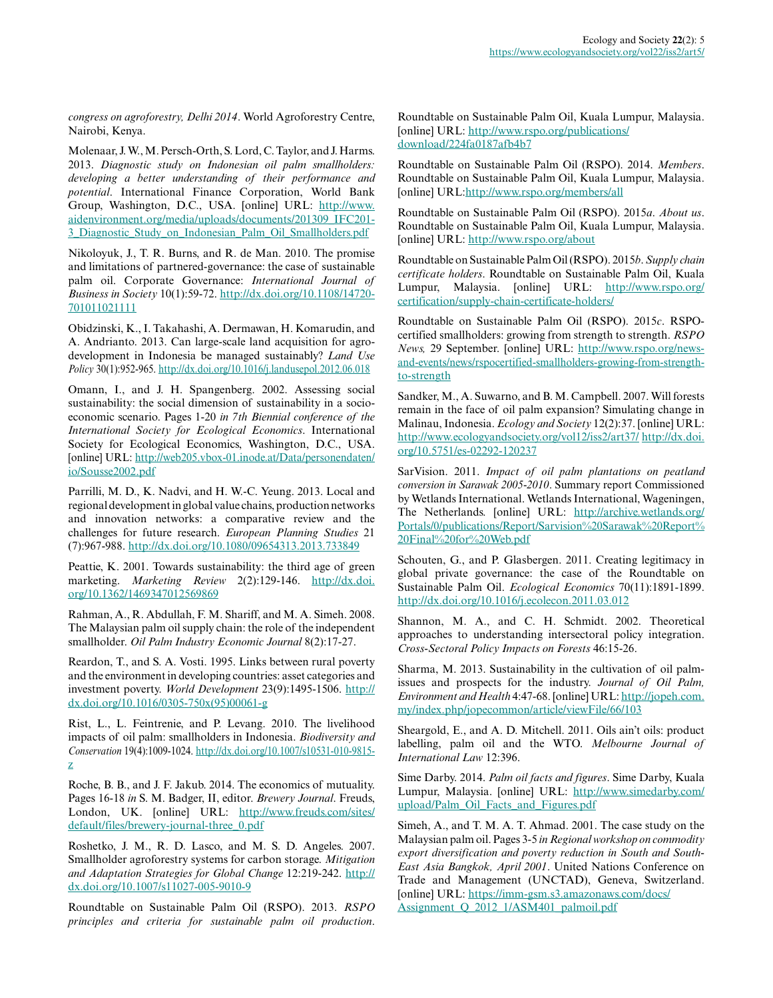*congress on agroforestry, Delhi 2014*. World Agroforestry Centre, Nairobi, Kenya.

Molenaar, J. W., M. Persch-Orth, S. Lord, C. Taylor, and J. Harms. 2013. *Diagnostic study on Indonesian oil palm smallholders: developing a better understanding of their performance and potential*. International Finance Corporation, World Bank Group, Washington, D.C., USA. [online] URL: [http://www.](http://www.aidenvironment.org/media/uploads/documents/201309_IFC2013_Diagnostic_Study_on_Indonesian_Palm_Oil_Smallholders.pdf) [aidenvironment.org/media/uploads/documents/201309\\_IFC201](http://www.aidenvironment.org/media/uploads/documents/201309_IFC2013_Diagnostic_Study_on_Indonesian_Palm_Oil_Smallholders.pdf) [3\\_Diagnostic\\_Study\\_on\\_Indonesian\\_Palm\\_Oil\\_Smallholders.pdf](http://www.aidenvironment.org/media/uploads/documents/201309_IFC2013_Diagnostic_Study_on_Indonesian_Palm_Oil_Smallholders.pdf)

Nikoloyuk, J., T. R. Burns, and R. de Man. 2010. The promise and limitations of partnered-governance: the case of sustainable palm oil. Corporate Governance: *International Journal of Business in Society* 10(1):59-72. [http://dx.doi.org/10.1108/14720](http://dx.doi.org/10.1108%2F14720701011021111) [701011021111](http://dx.doi.org/10.1108%2F14720701011021111)

Obidzinski, K., I. Takahashi, A. Dermawan, H. Komarudin, and A. Andrianto. 2013. Can large-scale land acquisition for agrodevelopment in Indonesia be managed sustainably? *Land Use Policy* 30(1):952-965. [http://dx.doi.org/10.1016/j.landusepol.2012.06.018](http://dx.doi.org/10.1016%2Fj.landusepol.2012.06.018)

Omann, I., and J. H. Spangenberg. 2002. Assessing social sustainability: the social dimension of sustainability in a socioeconomic scenario. Pages 1-20 *in 7th Biennial conference of the International Society for Ecological Economics*. International Society for Ecological Economics, Washington, D.C., USA. [online] URL: [http://web205.vbox-01.inode.at/Data/personendaten/](http://web205.vbox-01.inode.at/Data/personendaten/io/Sousse2002.pdf) [io/Sousse2002.pdf](http://web205.vbox-01.inode.at/Data/personendaten/io/Sousse2002.pdf)

Parrilli, M. D., K. Nadvi, and H. W.-C. Yeung. 2013. Local and regional development in global value chains, production networks and innovation networks: a comparative review and the challenges for future research. *European Planning Studies* 21 (7):967-988. [http://dx.doi.org/10.1080/09654313.2013.733849](http://dx.doi.org/10.1080%2F09654313.2013.733849) 

Peattie, K. 2001. Towards sustainability: the third age of green marketing. *Marketing Review* 2(2):129-146. [http://dx.doi.](http://dx.doi.org/10.1362%2F1469347012569869) [org/10.1362/1469347012569869](http://dx.doi.org/10.1362%2F1469347012569869)

Rahman, A., R. Abdullah, F. M. Shariff, and M. A. Simeh. 2008. The Malaysian palm oil supply chain: the role of the independent smallholder. *Oil Palm Industry Economic Journal* 8(2):17-27.

Reardon, T., and S. A. Vosti. 1995. Links between rural poverty and the environment in developing countries: asset categories and investment poverty. *World Development* 23(9):1495-1506. [http://](http://dx.doi.org/10.1016%2F0305-750x%2895%2900061-g) [dx.doi.org/10.1016/0305-750x\(95\)00061-g](http://dx.doi.org/10.1016%2F0305-750x%2895%2900061-g) 

Rist, L., L. Feintrenie, and P. Levang. 2010. The livelihood impacts of oil palm: smallholders in Indonesia. *Biodiversity and Conservation* 19(4):1009-1024. [http://dx.doi.org/10.1007/s10531-010-9815](http://dx.doi.org/10.1007%2Fs10531-010-9815-z) [z](http://dx.doi.org/10.1007%2Fs10531-010-9815-z) 

Roche, B. B., and J. F. Jakub. 2014. The economics of mutuality. Pages 16-18 *in* S. M. Badger, II, editor. *Brewery Journal*. Freuds, London, UK. [online] URL: [http://www.freuds.com/sites/](http://www.freuds.com/sites/default/files/brewery-journal-three_0.pdf) [default/files/brewery-journal-three\\_0.pdf](http://www.freuds.com/sites/default/files/brewery-journal-three_0.pdf)

Roshetko, J. M., R. D. Lasco, and M. S. D. Angeles. 2007. Smallholder agroforestry systems for carbon storage. *Mitigation and Adaptation Strategies for Global Change* 12:219-242. [http://](http://dx.doi.org/10.1007/s11027-005-9010-9) [dx.doi.org/10.1007/s11027-005-9010-9](http://dx.doi.org/10.1007/s11027-005-9010-9) 

Roundtable on Sustainable Palm Oil (RSPO). 2013. *RSPO principles and criteria for sustainable palm oil production*.

Roundtable on Sustainable Palm Oil, Kuala Lumpur, Malaysia. [online] URL: [http://www.rspo.org/publications/](http://www.rspo.org/publications/download/224fa0187afb4b7) [download/224fa0187afb4b7](http://www.rspo.org/publications/download/224fa0187afb4b7) 

Roundtable on Sustainable Palm Oil (RSPO). 2014. *Members*. Roundtable on Sustainable Palm Oil, Kuala Lumpur, Malaysia. [online] URL:<http://www.rspo.org/members/all>

Roundtable on Sustainable Palm Oil (RSPO). 2015*a*. *About us*. Roundtable on Sustainable Palm Oil, Kuala Lumpur, Malaysia. [online] URL: <http://www.rspo.org/about>

Roundtable on Sustainable Palm Oil (RSPO). 2015*b*. *Supply chain certificate holders*. Roundtable on Sustainable Palm Oil, Kuala Lumpur, Malaysia. [online] URL: [http://www.rspo.org/](http://www.rspo.org/certification/supply-chain-certificate-holders/) [certification/supply-chain-certificate-holders/](http://www.rspo.org/certification/supply-chain-certificate-holders/)

Roundtable on Sustainable Palm Oil (RSPO). 2015*c*. RSPOcertified smallholders: growing from strength to strength. *RSPO News,* 29 September. [online] URL: [http://www.rspo.org/news](http://www.rspo.org/news-and-events/news/rspocertified-smallholders-growing-from-strength-to-strength)[and-events/news/rspocertified-smallholders-growing-from-strength](http://www.rspo.org/news-and-events/news/rspocertified-smallholders-growing-from-strength-to-strength)[to-strength](http://www.rspo.org/news-and-events/news/rspocertified-smallholders-growing-from-strength-to-strength)

Sandker, M., A. Suwarno, and B. M. Campbell. 2007. Will forests remain in the face of oil palm expansion? Simulating change in Malinau, Indonesia. *Ecology and Society* 12(2):37. [online] URL: <http://www.ecologyandsociety.org/vol12/iss2/art37/> [http://dx.doi.](http://dx.doi.org/10.5751%2Fes-02292-120237) [org/10.5751/es-02292-120237](http://dx.doi.org/10.5751%2Fes-02292-120237)

SarVision. 2011. *Impact of oil palm plantations on peatland conversion in Sarawak 2005-2010*. Summary report Commissioned by Wetlands International. Wetlands International, Wageningen, The Netherlands. [online] URL: [http://archive.wetlands.org/](http://archive.wetlands.org/Portals/0/publications/Report/Sarvision%20Sarawak%20Report%20Final%20for%20Web.pdf) [Portals/0/publications/Report/Sarvision%20Sarawak%20Report%](http://archive.wetlands.org/Portals/0/publications/Report/Sarvision%20Sarawak%20Report%20Final%20for%20Web.pdf) [20Final%20for%20Web.pdf](http://archive.wetlands.org/Portals/0/publications/Report/Sarvision%20Sarawak%20Report%20Final%20for%20Web.pdf)

Schouten, G., and P. Glasbergen. 2011. Creating legitimacy in global private governance: the case of the Roundtable on Sustainable Palm Oil. *Ecological Economics* 70(11):1891-1899. [http://dx.doi.org/10.1016/j.ecolecon.2011.03.012](http://dx.doi.org/10.1016%2Fj.ecolecon.2011.03.012)

Shannon, M. A., and C. H. Schmidt. 2002. Theoretical approaches to understanding intersectoral policy integration. *Cross-Sectoral Policy Impacts on Forests* 46:15-26.

Sharma, M. 2013. Sustainability in the cultivation of oil palmissues and prospects for the industry. *Journal of Oil Palm, Environment and Health* 4:47-68. [online] URL: [http://jopeh.com.](http://jopeh.com.my/index.php/jopecommon/article/viewFile/66/103) [my/index.php/jopecommon/article/viewFile/66/103](http://jopeh.com.my/index.php/jopecommon/article/viewFile/66/103)

Sheargold, E., and A. D. Mitchell. 2011. Oils ain't oils: product labelling, palm oil and the WTO. *Melbourne Journal of International Law* 12:396.

Sime Darby. 2014. *Palm oil facts and figures*. Sime Darby, Kuala Lumpur, Malaysia. [online] URL: [http://www.simedarby.com/](http://www.simedarby.com/upload/Palm_Oil_Facts_and_Figures.pdf) [upload/Palm\\_Oil\\_Facts\\_and\\_Figures.pdf](http://www.simedarby.com/upload/Palm_Oil_Facts_and_Figures.pdf)

Simeh, A., and T. M. A. T. Ahmad. 2001. The case study on the Malaysian palm oil. Pages 3-5 *in Regional workshop on commodity export diversification and poverty reduction in South and South-East Asia Bangkok, April 2001*. United Nations Conference on Trade and Management (UNCTAD), Geneva, Switzerland. [online] URL: [https://imm-gsm.s3.amazonaws.com/docs/](https://imm-gsm.s3.amazonaws.com/docs/Assignment_Q_2012_1/ASM401_palmoil.pdf) Assignment Q\_2012\_1/ASM401\_palmoil.pdf